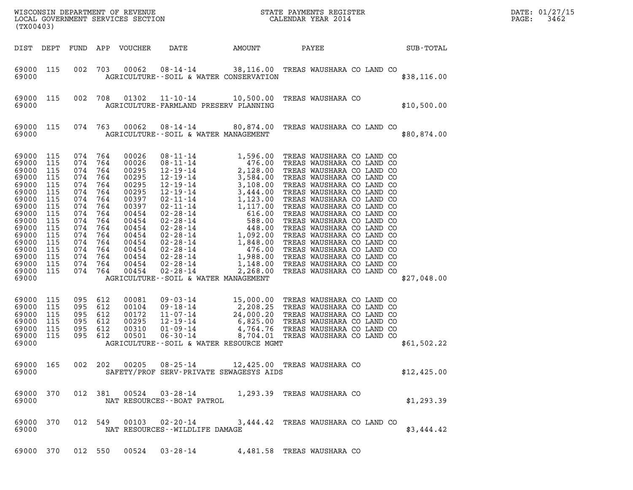| (TX00403)                                                                                                                                                          |                                                                                                              |                                                                                                                         |                                                                                                              | LOCAL GOVERNMENT SERVICES SECTION                                                                                                                     |                                                                                                                                                                                                                                                                                                                                                                                                                    |                                                                                                                                                                                             |                                                                                                                                                                                                                                                                                                                                                                                                                                                                                                                                    |  |  |             | DATE: 01/27/15<br>3462<br>PAGE: |
|--------------------------------------------------------------------------------------------------------------------------------------------------------------------|--------------------------------------------------------------------------------------------------------------|-------------------------------------------------------------------------------------------------------------------------|--------------------------------------------------------------------------------------------------------------|-------------------------------------------------------------------------------------------------------------------------------------------------------|--------------------------------------------------------------------------------------------------------------------------------------------------------------------------------------------------------------------------------------------------------------------------------------------------------------------------------------------------------------------------------------------------------------------|---------------------------------------------------------------------------------------------------------------------------------------------------------------------------------------------|------------------------------------------------------------------------------------------------------------------------------------------------------------------------------------------------------------------------------------------------------------------------------------------------------------------------------------------------------------------------------------------------------------------------------------------------------------------------------------------------------------------------------------|--|--|-------------|---------------------------------|
| DIST DEPT                                                                                                                                                          |                                                                                                              | FUND                                                                                                                    |                                                                                                              | APP VOUCHER                                                                                                                                           | DATE                                                                                                                                                                                                                                                                                                                                                                                                               | AMOUNT                                                                                                                                                                                      | PAYEE                                                                                                                                                                                                                                                                                                                                                                                                                                                                                                                              |  |  | SUB-TOTAL   |                                 |
| 69000 115<br>69000                                                                                                                                                 |                                                                                                              | 002                                                                                                                     | 703                                                                                                          | 00062                                                                                                                                                 | $08 - 14 - 14$<br>AGRICULTURE -- SOIL & WATER CONSERVATION                                                                                                                                                                                                                                                                                                                                                         | 38,116.00 TREAS WAUSHARA CO LAND CO                                                                                                                                                         |                                                                                                                                                                                                                                                                                                                                                                                                                                                                                                                                    |  |  | \$38,116.00 |                                 |
| 69000 115<br>69000                                                                                                                                                 |                                                                                                              | 002                                                                                                                     | 708                                                                                                          | 01302                                                                                                                                                 | $11 - 10 - 14$<br>AGRICULTURE-FARMLAND PRESERV PLANNING                                                                                                                                                                                                                                                                                                                                                            | 10,500.00 TREAS WAUSHARA CO                                                                                                                                                                 |                                                                                                                                                                                                                                                                                                                                                                                                                                                                                                                                    |  |  | \$10,500.00 |                                 |
| 69000 115<br>69000                                                                                                                                                 |                                                                                                              | 074 763                                                                                                                 |                                                                                                              | 00062                                                                                                                                                 | 08-14-14<br>AGRICULTURE--SOIL & WATER MANAGEMENT                                                                                                                                                                                                                                                                                                                                                                   | 80,874.00 TREAS WAUSHARA CO LAND CO                                                                                                                                                         |                                                                                                                                                                                                                                                                                                                                                                                                                                                                                                                                    |  |  | \$80,874.00 |                                 |
| 69000<br>69000<br>69000<br>69000<br>69000<br>69000<br>69000<br>69000<br>69000<br>69000<br>69000<br>69000<br>69000<br>69000<br>69000<br>69000<br>69000 115<br>69000 | 115<br>115<br>115<br>115<br>115<br>115<br>115<br>115<br>115<br>115<br>115<br>115<br>115<br>115<br>115<br>115 | 074<br>074<br>074<br>074<br>074<br>074<br>074<br>074<br>074<br>074<br>074<br>074<br>074<br>074<br>074<br>074<br>074 764 | 764<br>764<br>764<br>764<br>764<br>764<br>764<br>764<br>764<br>764<br>764<br>764<br>764<br>764<br>764<br>764 | 00026<br>00026<br>00295<br>00295<br>00295<br>00295<br>00397<br>00397<br>00454<br>00454<br>00454<br>00454<br>00454<br>00454<br>00454<br>00454<br>00454 | $\begin{array}{cccc} 08\text{-}11\text{-}14 & 1,596.00 \\ 08\text{-}11\text{-}14 & 476.00 \\ 12\text{-}19\text{-}14 & 2,128.00 \\ 12\text{-}19\text{-}14 & 3,188.00 \\ 12\text{-}19\text{-}14 & 3,108.00 \\ 12\text{-}19\text{-}14 & 3,444.00 \\ 02\text{-}11\text{-}14 & 1,123.00 \\ 02\text{-}28\text{-}14 & 1,117.00 \\ 02\text{-}$<br>$02 - 28 - 14$<br>$02 - 28 - 14$<br>AGRICULTURE--SOIL & WATER MANAGEMENT | 1,148.00<br>2,268.00                                                                                                                                                                        | TREAS WAUSHARA CO LAND CO<br>476.00 TREAS WAUSHARA CO LAND CO<br>2,128.00 TREAS WAUSHARA CO LAND CO<br>TREAS WAUSHARA CO LAND CO<br>TREAS WAUSHARA CO LAND CO<br>TREAS WAUSHARA CO LAND CO<br>TREAS WAUSHARA CO LAND CO<br>TREAS WAUSHARA CO LAND CO<br>TREAS WAUSHARA CO LAND CO<br>TREAS WAUSHARA CO LAND CO<br>TREAS WAUSHARA CO LAND CO<br>TREAS WAUSHARA CO LAND CO<br>TREAS WAUSHARA CO LAND CO<br>TREAS WAUSHARA CO LAND CO<br>1,988.00 TREAS WAUSHARA CO LAND CO<br>TREAS WAUSHARA CO LAND CO<br>TREAS WAUSHARA CO LAND CO |  |  | \$27,048.00 |                                 |
| 69000<br>69000<br>69000<br>69000<br>69000<br>69000<br>69000                                                                                                        | 115<br>115<br>115<br>115<br>115<br>115                                                                       | 095 612<br>095<br>095<br>095<br>095<br>095                                                                              | 612<br>612<br>612<br>612<br>612                                                                              | 00081<br>00104<br>00172<br>00295<br>00310<br>00501                                                                                                    | 09-03-14<br>09-18-14<br>11-07-14<br>$12 - 19 - 14$<br>$01 - 09 - 14$<br>$06 - 30 - 14$<br>AGRICULTURE--SOIL & WATER RESOURCE MGMT                                                                                                                                                                                                                                                                                  | 2,208.25 TREAS WAUSHARA CO LAND CO<br>24,000.20 TREAS WAUSHARA CO LAND CO<br>6,825.00 TREAS WAUSHARA CO LAND CO<br>4,764.76 TREAS WAUSHARA CO LAND CO<br>8,704.01 TREAS WAUSHARA CO LAND CO | 15,000.00 TREAS WAUSHARA CO LAND CO                                                                                                                                                                                                                                                                                                                                                                                                                                                                                                |  |  | \$61,502.22 |                                 |
| 69000                                                                                                                                                              | 69000 165                                                                                                    |                                                                                                                         |                                                                                                              |                                                                                                                                                       | 002 202 00205 08-25-14 12,425.00 TREAS WAUSHARA CO<br>SAFETY/PROF SERV-PRIVATE SEWAGESYS AIDS                                                                                                                                                                                                                                                                                                                      |                                                                                                                                                                                             |                                                                                                                                                                                                                                                                                                                                                                                                                                                                                                                                    |  |  | \$12,425.00 |                                 |
| 69000 370<br>69000                                                                                                                                                 |                                                                                                              | 012 381                                                                                                                 |                                                                                                              | 00524                                                                                                                                                 | 03-28-14 1,293.39 TREAS WAUSHARA CO<br>NAT RESOURCES - - BOAT PATROL                                                                                                                                                                                                                                                                                                                                               |                                                                                                                                                                                             |                                                                                                                                                                                                                                                                                                                                                                                                                                                                                                                                    |  |  | \$1,293.39  |                                 |
| 69000 370<br>69000                                                                                                                                                 |                                                                                                              | 012 549                                                                                                                 |                                                                                                              |                                                                                                                                                       | 00103  02-20-14<br>NAT RESOURCES--WILDLIFE DAMAGE                                                                                                                                                                                                                                                                                                                                                                  |                                                                                                                                                                                             | 3,444.42 TREAS WAUSHARA CO LAND CO                                                                                                                                                                                                                                                                                                                                                                                                                                                                                                 |  |  | \$3,444.42  |                                 |
| 69000 370                                                                                                                                                          |                                                                                                              |                                                                                                                         |                                                                                                              |                                                                                                                                                       | 012 550 00524 03-28-14                                                                                                                                                                                                                                                                                                                                                                                             |                                                                                                                                                                                             | 4,481.58 TREAS WAUSHARA CO                                                                                                                                                                                                                                                                                                                                                                                                                                                                                                         |  |  |             |                                 |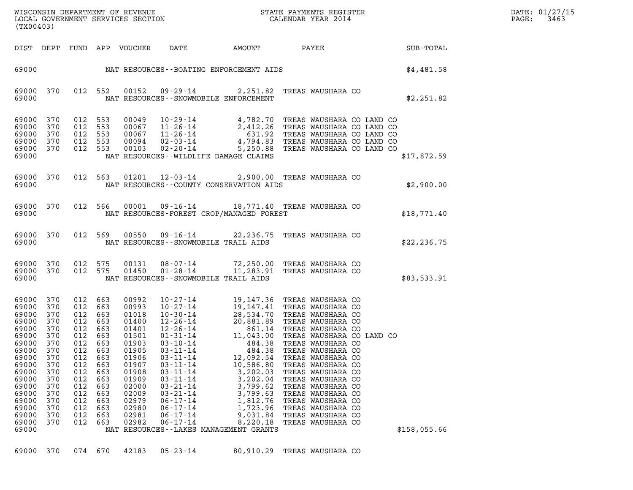| DATE: | 01/27/15 |
|-------|----------|
| PAGE: | 3463     |

| DATE: 01/27/15                                                                                                                                                              |                                                                                                                     |                                                                                                                                                    |                                                                                  |                                                                                                                                                                |                                                                                                                                                                                                                                        |                                                                                                                                                                               |                                                                                                                                                                                                                                                                                                                                                                                                                                                                                                                            |                  |              |               |
|-----------------------------------------------------------------------------------------------------------------------------------------------------------------------------|---------------------------------------------------------------------------------------------------------------------|----------------------------------------------------------------------------------------------------------------------------------------------------|----------------------------------------------------------------------------------|----------------------------------------------------------------------------------------------------------------------------------------------------------------|----------------------------------------------------------------------------------------------------------------------------------------------------------------------------------------------------------------------------------------|-------------------------------------------------------------------------------------------------------------------------------------------------------------------------------|----------------------------------------------------------------------------------------------------------------------------------------------------------------------------------------------------------------------------------------------------------------------------------------------------------------------------------------------------------------------------------------------------------------------------------------------------------------------------------------------------------------------------|------------------|--------------|---------------|
| (TX00403)                                                                                                                                                                   |                                                                                                                     |                                                                                                                                                    |                                                                                  |                                                                                                                                                                |                                                                                                                                                                                                                                        |                                                                                                                                                                               |                                                                                                                                                                                                                                                                                                                                                                                                                                                                                                                            |                  |              | PAGE:<br>3463 |
|                                                                                                                                                                             |                                                                                                                     |                                                                                                                                                    |                                                                                  | DIST DEPT FUND APP VOUCHER                                                                                                                                     | DATE                                                                                                                                                                                                                                   | AMOUNT                                                                                                                                                                        | PAYEE                                                                                                                                                                                                                                                                                                                                                                                                                                                                                                                      | <b>SUB-TOTAL</b> |              |               |
| 69000                                                                                                                                                                       |                                                                                                                     |                                                                                                                                                    |                                                                                  |                                                                                                                                                                |                                                                                                                                                                                                                                        |                                                                                                                                                                               | NAT RESOURCES--BOATING ENFORCEMENT AIDS                                                                                                                                                                                                                                                                                                                                                                                                                                                                                    |                  | \$4,481.58   |               |
| 69000 370<br>69000                                                                                                                                                          |                                                                                                                     |                                                                                                                                                    | 012 552                                                                          |                                                                                                                                                                | NAT RESOURCES - - SNOWMOBILE ENFORCEMENT                                                                                                                                                                                               |                                                                                                                                                                               | 00152  09-29-14  2,251.82  TREAS WAUSHARA CO                                                                                                                                                                                                                                                                                                                                                                                                                                                                               |                  | \$2,251.82   |               |
| 69000 370<br>69000<br>69000<br>69000                                                                                                                                        | 370<br>370<br>370                                                                                                   | 012 553<br>012 553<br>012 553<br>012 553                                                                                                           |                                                                                  |                                                                                                                                                                |                                                                                                                                                                                                                                        |                                                                                                                                                                               | 00049  10-29-14  4,782.70 TREAS WAUSHARA CO LAND CO<br>00067  11-26-14  2,412.26 TREAS WAUSHARA CO LAND CO<br>00067  11-26-14  631.92 TREAS WAUSHARA CO LAND CO<br>00094  02-03-14  4,794.83 TREAS WAUSHARA CO LAND CO<br>00103  02-20                                                                                                                                                                                                                                                                                     |                  |              |               |
| 69000 370<br>69000                                                                                                                                                          |                                                                                                                     | 012 553                                                                                                                                            |                                                                                  |                                                                                                                                                                | NAT RESOURCES - - WILDLIFE DAMAGE CLAIMS                                                                                                                                                                                               |                                                                                                                                                                               |                                                                                                                                                                                                                                                                                                                                                                                                                                                                                                                            |                  | \$17,872.59  |               |
| 69000 370<br>69000                                                                                                                                                          |                                                                                                                     | 012 563                                                                                                                                            |                                                                                  |                                                                                                                                                                |                                                                                                                                                                                                                                        | NAT RESOURCES - COUNTY CONSERVATION AIDS                                                                                                                                      | 01201  12-03-14  2,900.00 TREAS WAUSHARA CO                                                                                                                                                                                                                                                                                                                                                                                                                                                                                |                  | \$2,900.00   |               |
| 69000 370<br>69000                                                                                                                                                          |                                                                                                                     | 012 566                                                                                                                                            |                                                                                  | 00001                                                                                                                                                          |                                                                                                                                                                                                                                        | NAT RESOURCES-FOREST CROP/MANAGED FOREST                                                                                                                                      | 09-16-14 18,771.40 TREAS WAUSHARA CO                                                                                                                                                                                                                                                                                                                                                                                                                                                                                       |                  | \$18,771.40  |               |
| 69000 370<br>69000                                                                                                                                                          |                                                                                                                     | 012 569                                                                                                                                            |                                                                                  | 00550                                                                                                                                                          | NAT RESOURCES - - SNOWMOBILE TRAIL AIDS                                                                                                                                                                                                |                                                                                                                                                                               | 09-16-14 22, 236.75 TREAS WAUSHARA CO                                                                                                                                                                                                                                                                                                                                                                                                                                                                                      |                  | \$22, 236.75 |               |
| 69000 370<br>69000 370<br>69000                                                                                                                                             |                                                                                                                     | 012 575<br>012 575                                                                                                                                 |                                                                                  | 00131<br>01450                                                                                                                                                 | NAT RESOURCES - - SNOWMOBILE TRAIL AIDS                                                                                                                                                                                                |                                                                                                                                                                               | 08-07-14 72,250.00 TREAS WAUSHARA CO<br>01-28-14 11,283.91 TREAS WAUSHARA CO                                                                                                                                                                                                                                                                                                                                                                                                                                               |                  | \$83,533.91  |               |
| 69000 370<br>69000<br>69000<br>69000<br>69000<br>69000<br>69000<br>69000<br>69000<br>69000<br>69000<br>69000<br>69000<br>69000<br>69000<br>69000<br>69000<br>69000<br>69000 | 370<br>370<br>370<br>370<br>370<br>370<br>370<br>370<br>370<br>370<br>370<br>370<br>370<br>370<br>370<br>370<br>370 | 012 663<br>012<br>012 663<br>012 663<br>012 663<br>012 663<br>012 663<br>012<br>012<br>012<br>012<br>012<br>012<br>012<br>012<br>012<br>012<br>012 | 663<br>663<br>663<br>663<br>663<br>663<br>663<br>663<br>663<br>663<br>663<br>663 | 00992<br>00993<br>01018<br>01400<br>01401<br>01501<br>01903<br>01905<br>01906<br>01907<br>01908<br>01909<br>02000<br>02009<br>02979<br>02980<br>02981<br>02982 | $10 - 27 - 14$<br>$03 - 10 - 14$<br>$03 - 11 - 14$<br>$03 - 11 - 14$<br>$03 - 11 - 14$<br>$03 - 11 - 14$<br>$03 - 11 - 14$<br>$03 - 21 - 14$<br>$03 - 21 - 14$<br>$06 - 17 - 14$<br>$06 - 17 - 14$<br>$06 - 17 - 14$<br>$06 - 17 - 14$ | 484.38<br>12,092.54<br>10,586.80<br>3,202.03<br>3,202.04<br>3,799.62<br>3,799.63<br>1,812.76<br>1,723.96<br>9,031.84<br>8,220.18<br>NAT RESOURCES - - LAKES MANAGEMENT GRANTS | 19,147.36 TREAS WAUSHARA CO<br>10-27-14<br>19,147.41 TREAS WAUSHARA CO<br>10-30-14<br>28,534.70 TREAS WAUSHARA CO<br>12-26-14<br>20,881.89 TREAS WAUSHARA CO<br>12-26-14<br>861.14 TREAS WAUSHARA CO<br>01-31-14<br>11,043.00 TREAS WAUSHARA CO LAND CO<br>484.38 TREAS WAUSHARA CO<br>TREAS WAUSHARA CO<br>TREAS WAUSHARA CO<br>TREAS WAUSHARA CO<br>TREAS WAUSHARA CO<br>TREAS WAUSHARA CO<br>TREAS WAUSHARA CO<br>TREAS WAUSHARA CO<br>TREAS WAUSHARA CO<br>TREAS WAUSHARA CO<br>TREAS WAUSHARA CO<br>TREAS WAUSHARA CO |                  | \$158,055.66 |               |
| 69000 370                                                                                                                                                                   |                                                                                                                     | 074 670                                                                                                                                            |                                                                                  | 42183                                                                                                                                                          | $05 - 23 - 14$                                                                                                                                                                                                                         | 80,910.29                                                                                                                                                                     | TREAS WAUSHARA CO                                                                                                                                                                                                                                                                                                                                                                                                                                                                                                          |                  |              |               |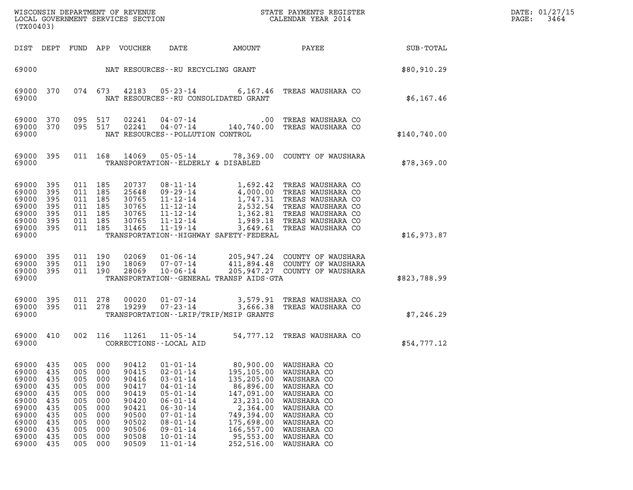|                                                                                                          |                                                                                  |                                                                                  |                                                                                  |                                                                                                          |                                                                                                                                                                                                                      |                                                                                                                                                                 | DATE: 01/27/15<br>3464<br>PAGE:                                                                                                                                                                                                  |              |  |
|----------------------------------------------------------------------------------------------------------|----------------------------------------------------------------------------------|----------------------------------------------------------------------------------|----------------------------------------------------------------------------------|----------------------------------------------------------------------------------------------------------|----------------------------------------------------------------------------------------------------------------------------------------------------------------------------------------------------------------------|-----------------------------------------------------------------------------------------------------------------------------------------------------------------|----------------------------------------------------------------------------------------------------------------------------------------------------------------------------------------------------------------------------------|--------------|--|
| (TX00403)                                                                                                |                                                                                  |                                                                                  |                                                                                  |                                                                                                          |                                                                                                                                                                                                                      |                                                                                                                                                                 |                                                                                                                                                                                                                                  |              |  |
|                                                                                                          |                                                                                  |                                                                                  |                                                                                  | DIST DEPT FUND APP VOUCHER                                                                               | DATE                                                                                                                                                                                                                 | AMOUNT                                                                                                                                                          | PAYEE                                                                                                                                                                                                                            | SUB-TOTAL    |  |
| 69000                                                                                                    |                                                                                  |                                                                                  |                                                                                  |                                                                                                          | NAT RESOURCES--RU RECYCLING GRANT                                                                                                                                                                                    |                                                                                                                                                                 |                                                                                                                                                                                                                                  | \$80,910.29  |  |
| 69000 370<br>69000                                                                                       |                                                                                  |                                                                                  | 074 673                                                                          |                                                                                                          | 42183 05-23-14                                                                                                                                                                                                       | NAT RESOURCES - - RU CONSOLIDATED GRANT                                                                                                                         | 6,167.46 TREAS WAUSHARA CO                                                                                                                                                                                                       | \$6,167.46   |  |
| 69000 370<br>69000 370<br>69000                                                                          |                                                                                  |                                                                                  | 095 517<br>095 517                                                               | 02241                                                                                                    | $04 - 07 - 14$<br>NAT RESOURCES - - POLLUTION CONTROL                                                                                                                                                                | $.00\,$                                                                                                                                                         | TREAS WAUSHARA CO<br>02241  04-07-14  140,740.00 TREAS WAUSHARA CO                                                                                                                                                               | \$140,740.00 |  |
| 69000 395<br>69000                                                                                       |                                                                                  |                                                                                  |                                                                                  | 011 168 14069                                                                                            | TRANSPORTATION--ELDERLY & DISABLED                                                                                                                                                                                   |                                                                                                                                                                 | 05-05-14 78,369.00 COUNTY OF WAUSHARA                                                                                                                                                                                            | \$78,369.00  |  |
| 69000<br>69000<br>69000<br>69000<br>69000<br>69000<br>69000 395<br>69000                                 | 395<br>395<br>395<br>395<br>395<br>395                                           | 011 185<br>011 185<br>011 185<br>011 185<br>011 185<br>011 185<br>011 185        |                                                                                  | 20737<br>25648<br>30765<br>30765<br>30765<br>30765<br>31465                                              | 08-11-14<br>11-12-14<br>11-12-14<br>11-12-14<br>11-12-14<br>11-19-14                                                                                                                                                 | TRANSPORTATION - - HIGHWAY SAFETY - FEDERAL                                                                                                                     | 1,692.42 TREAS WAUSHARA CO<br>09-29-14<br>11-12-14<br>11-12-14<br>1,747.31 TREAS WAUSHARA CO<br>11-12-14<br>2,532.54 TREAS WAUSHARA CO<br>1,362.81 TREAS WAUSHARA CO<br>1,989.18 TREAS WAUSHARA CO<br>3,649.61 TREAS WAUSHARA CO | \$16,973.87  |  |
| 69000 395<br>69000<br>69000 395<br>69000                                                                 | 395                                                                              | 011 190                                                                          | 011 190<br>011 190                                                               | 02069<br>18069<br>28069                                                                                  | $01 - 06 - 14$<br>07-07-14<br>$10 - 06 - 14$                                                                                                                                                                         | TRANSPORTATION--GENERAL TRANSP AIDS-GTA                                                                                                                         | 205,947.24 COUNTY OF WAUSHARA<br>411,894.48 COUNTY OF WAUSHARA<br>205,947.27 COUNTY OF WAUSHARA                                                                                                                                  | \$823,788.99 |  |
| 69000 395<br>69000 395<br>69000                                                                          |                                                                                  | 011 278<br>011 278                                                               |                                                                                  | 00020<br>19299                                                                                           | 01-07-14                                                                                                                                                                                                             | TRANSPORTATION - - LRIP/TRIP/MSIP GRANTS                                                                                                                        | 3,579.91 TREAS WAUSHARA CO<br>07-23-14 3,666.38 TREAS WAUSHARA CO                                                                                                                                                                | \$7,246.29   |  |
| 69000 410<br>69000                                                                                       |                                                                                  |                                                                                  | 002 116                                                                          |                                                                                                          | 11261 11-05-14<br>CORRECTIONS - - LOCAL AID                                                                                                                                                                          |                                                                                                                                                                 | 54,777.12 TREAS WAUSHARA CO                                                                                                                                                                                                      | \$54,777.12  |  |
| 69000<br>69000<br>69000<br>69000<br>69000<br>69000<br>69000<br>69000<br>69000<br>69000<br>69000<br>69000 | 435<br>435<br>435<br>435<br>435<br>435<br>435<br>435<br>435<br>435<br>435<br>435 | 005<br>005<br>005<br>005<br>005<br>005<br>005<br>005<br>005<br>005<br>005<br>005 | 000<br>000<br>000<br>000<br>000<br>000<br>000<br>000<br>000<br>000<br>000<br>000 | 90412<br>90415<br>90416<br>90417<br>90419<br>90420<br>90421<br>90500<br>90502<br>90506<br>90508<br>90509 | $01 - 01 - 14$<br>$02 - 01 - 14$<br>$03 - 01 - 14$<br>$04 - 01 - 14$<br>$05 - 01 - 14$<br>$06 - 01 - 14$<br>$06 - 30 - 14$<br>$07 - 01 - 14$<br>$08 - 01 - 14$<br>$09 - 01 - 14$<br>$10 - 01 - 14$<br>$11 - 01 - 14$ | 80,900.00<br>195,105.00<br>135,205.00<br>86,896.00<br>147,091.00<br>23, 231.00<br>2,364.00<br>749,394.00<br>175,698.00<br>166,557.00<br>95,553.00<br>252,516.00 | WAUSHARA CO<br>WAUSHARA CO<br>WAUSHARA CO<br>WAUSHARA CO<br>WAUSHARA CO<br>WAUSHARA CO<br>WAUSHARA CO<br>WAUSHARA CO<br>WAUSHARA CO<br>WAUSHARA CO<br>WAUSHARA CO<br>WAUSHARA CO                                                 |              |  |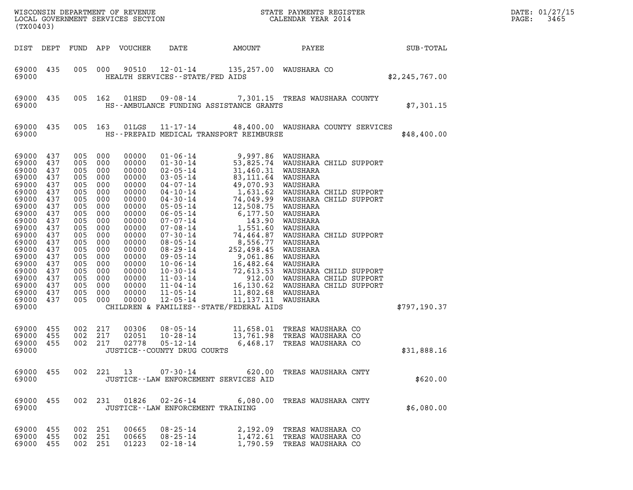| (TX00403)                                                                                                                                                                                              |                                                                                                                                          |                                                                                                                                                 |                                                                                                                                                 |                                                                                                                                                                                           |                                                                                     |                                         |                                                                                                                                                                                                                                           |                  | DATE: 01/27/15<br>3465<br>PAGE: |
|--------------------------------------------------------------------------------------------------------------------------------------------------------------------------------------------------------|------------------------------------------------------------------------------------------------------------------------------------------|-------------------------------------------------------------------------------------------------------------------------------------------------|-------------------------------------------------------------------------------------------------------------------------------------------------|-------------------------------------------------------------------------------------------------------------------------------------------------------------------------------------------|-------------------------------------------------------------------------------------|-----------------------------------------|-------------------------------------------------------------------------------------------------------------------------------------------------------------------------------------------------------------------------------------------|------------------|---------------------------------|
| DIST DEPT                                                                                                                                                                                              |                                                                                                                                          |                                                                                                                                                 |                                                                                                                                                 | FUND APP VOUCHER                                                                                                                                                                          | DATE                                                                                | AMOUNT                                  | PAYEE                                                                                                                                                                                                                                     | <b>SUB-TOTAL</b> |                                 |
| 69000 435<br>69000                                                                                                                                                                                     |                                                                                                                                          | 005 000                                                                                                                                         |                                                                                                                                                 | 90510                                                                                                                                                                                     | $12 - 01 - 14$<br>HEALTH SERVICES - - STATE/FED AIDS                                |                                         | 135,257.00 WAUSHARA CO                                                                                                                                                                                                                    | \$2,245,767.00   |                                 |
| 69000 435<br>69000                                                                                                                                                                                     |                                                                                                                                          | 005 162                                                                                                                                         |                                                                                                                                                 | 01HSD                                                                                                                                                                                     | HS--AMBULANCE FUNDING ASSISTANCE GRANTS                                             |                                         | 09-08-14 7,301.15 TREAS WAUSHARA COUNTY                                                                                                                                                                                                   | \$7,301.15       |                                 |
| 69000 435<br>69000                                                                                                                                                                                     |                                                                                                                                          |                                                                                                                                                 | 005 163                                                                                                                                         | 01LGS                                                                                                                                                                                     | HS--PREPAID MEDICAL TRANSPORT REIMBURSE                                             |                                         | 11-17-14 48,400.00 WAUSHARA COUNTY SERVICES                                                                                                                                                                                               | \$48,400.00      |                                 |
| 69000<br>69000<br>69000<br>69000<br>69000<br>69000<br>69000<br>69000<br>69000<br>69000<br>69000<br>69000<br>69000<br>69000<br>69000<br>69000<br>69000<br>69000<br>69000<br>69000<br>69000 437<br>69000 | 437<br>437<br>437<br>437<br>437<br>437<br>437<br>437<br>437<br>437<br>437<br>437<br>437<br>437<br>437<br>437<br>437<br>437<br>437<br>437 | 005<br>005<br>005<br>005<br>005<br>005<br>005<br>005<br>005<br>005<br>005<br>005<br>005<br>005<br>005<br>005<br>005<br>005<br>005<br>005<br>005 | 000<br>000<br>000<br>000<br>000<br>000<br>000<br>000<br>000<br>000<br>000<br>000<br>000<br>000<br>000<br>000<br>000<br>000<br>000<br>000<br>000 | 00000<br>00000<br>00000<br>00000<br>00000<br>00000<br>00000<br>00000<br>00000<br>00000<br>00000<br>00000<br>00000<br>00000<br>00000<br>00000<br>00000<br>00000<br>00000<br>00000<br>00000 | $01 - 06 - 14$<br>$12 - 05 - 14$<br>CHILDREN & FAMILIES - - STATE/FEDERAL AIDS      | 9,997.86 WAUSHARA<br>11,137.11 WAUSHARA | 01-06-14 9,997.86 WAUSHARA<br>01-30-14 53,825.74 WAUSHARA CHILD SUPPORT<br>02-05-14 31,460.31 WAUSHARA<br>03-05-14 83,111.64 WAUSHARA<br>04-07-14 49,070.93 WAUSHARA<br>04-10-14 1,631 WAUSHARA CHILD SUPPORT<br>04-30-14 1,631.69 WAUSHA | \$797,190.37     |                                 |
| 69000 455<br>69000<br>69000 455<br>69000                                                                                                                                                               | 455                                                                                                                                      | 002 217<br>002<br>002 217                                                                                                                       | 217                                                                                                                                             | 00306<br>02051<br>02778                                                                                                                                                                   | $08 - 05 - 14$<br>$10 - 28 - 14$<br>$05 - 12 - 14$<br>JUSTICE -- COUNTY DRUG COURTS |                                         | 11,658.01 TREAS WAUSHARA CO<br>13,761.98 TREAS WAUSHARA CO<br>6,468.17 TREAS WAUSHARA CO                                                                                                                                                  | \$31,888.16      |                                 |
| 69000 455<br>69000                                                                                                                                                                                     |                                                                                                                                          |                                                                                                                                                 |                                                                                                                                                 |                                                                                                                                                                                           | JUSTICE -- LAW ENFORCEMENT SERVICES AID                                             |                                         | 002 221 13 07-30-14 620.00 TREAS WAUSHARA CNTY                                                                                                                                                                                            | \$620.00         |                                 |
| 69000 455<br>69000                                                                                                                                                                                     |                                                                                                                                          |                                                                                                                                                 |                                                                                                                                                 |                                                                                                                                                                                           | JUSTICE - - LAW ENFORCEMENT TRAINING                                                |                                         | 002 231 01826 02-26-14 6,080.00 TREAS WAUSHARA CNTY                                                                                                                                                                                       | \$6,080.00       |                                 |
| 69000 455<br>69000 455<br>69000 455                                                                                                                                                                    |                                                                                                                                          | 002 251<br>002 251<br>002 251                                                                                                                   |                                                                                                                                                 | 00665<br>00665<br>01223                                                                                                                                                                   | 08-25-14<br>02-18-14                                                                |                                         | 2,192.09 TREAS WAUSHARA CO<br>08-25-14 1,472.61 TREAS WAUSHARA CO<br>1,790.59 TREAS WAUSHARA CO                                                                                                                                           |                  |                                 |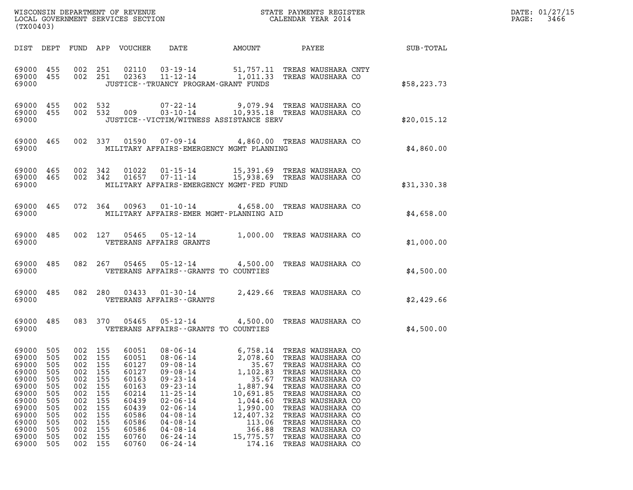| WISCONSIN DEPARTMENT OF REVENUE<br>LOCAL GOVERNMENT SERVICES SECTION<br>(TX00403) | STATE PAYMENTS REGISTER<br>CALENDAR YEAR 2014 | DATE: 01/27/15<br>3466<br>PAGE: |
|-----------------------------------------------------------------------------------|-----------------------------------------------|---------------------------------|

| (TX00403)                                                                                      |                                                                                                |                                                                                                |                                                                                                                            |                                                                                                                                                                                                                                                          |                                                                                                                                                             |                                                                                                                                                                                  |                                                                                                                                                                                                                    |                                                                                                                                                                                                                                                                                                                                                                                                                                                                                                                                                                                                                                                    |
|------------------------------------------------------------------------------------------------|------------------------------------------------------------------------------------------------|------------------------------------------------------------------------------------------------|----------------------------------------------------------------------------------------------------------------------------|----------------------------------------------------------------------------------------------------------------------------------------------------------------------------------------------------------------------------------------------------------|-------------------------------------------------------------------------------------------------------------------------------------------------------------|----------------------------------------------------------------------------------------------------------------------------------------------------------------------------------|--------------------------------------------------------------------------------------------------------------------------------------------------------------------------------------------------------------------|----------------------------------------------------------------------------------------------------------------------------------------------------------------------------------------------------------------------------------------------------------------------------------------------------------------------------------------------------------------------------------------------------------------------------------------------------------------------------------------------------------------------------------------------------------------------------------------------------------------------------------------------------|
| DEPT                                                                                           | FUND                                                                                           |                                                                                                |                                                                                                                            | DATE                                                                                                                                                                                                                                                     |                                                                                                                                                             |                                                                                                                                                                                  |                                                                                                                                                                                                                    | SUB-TOTAL                                                                                                                                                                                                                                                                                                                                                                                                                                                                                                                                                                                                                                          |
| 455<br>455                                                                                     | 002<br>002                                                                                     | 251<br>251                                                                                     | 02110<br>02363                                                                                                             | $03 - 19 - 14$<br>$11 - 12 - 14$                                                                                                                                                                                                                         |                                                                                                                                                             |                                                                                                                                                                                  |                                                                                                                                                                                                                    | \$58, 223.73                                                                                                                                                                                                                                                                                                                                                                                                                                                                                                                                                                                                                                       |
| 455<br>455                                                                                     | 002<br>002                                                                                     | 532<br>532                                                                                     | 009                                                                                                                        | $07 - 22 - 14$<br>$03 - 10 - 14$                                                                                                                                                                                                                         |                                                                                                                                                             |                                                                                                                                                                                  |                                                                                                                                                                                                                    | \$20,015.12                                                                                                                                                                                                                                                                                                                                                                                                                                                                                                                                                                                                                                        |
| 465                                                                                            | 002                                                                                            | 337                                                                                            | 01590                                                                                                                      |                                                                                                                                                                                                                                                          |                                                                                                                                                             |                                                                                                                                                                                  |                                                                                                                                                                                                                    | \$4,860.00                                                                                                                                                                                                                                                                                                                                                                                                                                                                                                                                                                                                                                         |
| 465<br>465                                                                                     | 002<br>002                                                                                     | 342<br>342                                                                                     | 01022<br>01657                                                                                                             | $01 - 15 - 14$<br>$07 - 11 - 14$                                                                                                                                                                                                                         |                                                                                                                                                             |                                                                                                                                                                                  |                                                                                                                                                                                                                    | \$31,330.38                                                                                                                                                                                                                                                                                                                                                                                                                                                                                                                                                                                                                                        |
| 465                                                                                            | 072                                                                                            | 364                                                                                            | 00963                                                                                                                      | $01 - 10 - 14$                                                                                                                                                                                                                                           |                                                                                                                                                             |                                                                                                                                                                                  |                                                                                                                                                                                                                    | \$4,658.00                                                                                                                                                                                                                                                                                                                                                                                                                                                                                                                                                                                                                                         |
| 485                                                                                            | 002                                                                                            | 127                                                                                            | 05465                                                                                                                      | $05 - 12 - 14$                                                                                                                                                                                                                                           |                                                                                                                                                             |                                                                                                                                                                                  |                                                                                                                                                                                                                    | \$1,000.00                                                                                                                                                                                                                                                                                                                                                                                                                                                                                                                                                                                                                                         |
| 485                                                                                            | 082                                                                                            | 267                                                                                            | 05465                                                                                                                      | $05 - 12 - 14$                                                                                                                                                                                                                                           |                                                                                                                                                             |                                                                                                                                                                                  |                                                                                                                                                                                                                    | \$4,500.00                                                                                                                                                                                                                                                                                                                                                                                                                                                                                                                                                                                                                                         |
| 485                                                                                            | 082                                                                                            | 280                                                                                            | 03433                                                                                                                      | $01 - 30 - 14$                                                                                                                                                                                                                                           | 2,429.66                                                                                                                                                    |                                                                                                                                                                                  |                                                                                                                                                                                                                    | \$2,429.66                                                                                                                                                                                                                                                                                                                                                                                                                                                                                                                                                                                                                                         |
| 485                                                                                            | 083                                                                                            | 370                                                                                            | 05465                                                                                                                      | $05 - 12 - 14$                                                                                                                                                                                                                                           | 4,500.00                                                                                                                                                    |                                                                                                                                                                                  |                                                                                                                                                                                                                    | \$4,500.00                                                                                                                                                                                                                                                                                                                                                                                                                                                                                                                                                                                                                                         |
| 505<br>505<br>505<br>505<br>505<br>505<br>505<br>505<br>505<br>505<br>505<br>505<br>505<br>505 | 002<br>002<br>002<br>002<br>002<br>002<br>002<br>002<br>002<br>002<br>002<br>002<br>002<br>002 | 155<br>155<br>155<br>155<br>155<br>155<br>155<br>155<br>155<br>155<br>155<br>155<br>155<br>155 | 60051<br>60051<br>60127<br>60127<br>60163<br>60163<br>60214<br>60439<br>60439<br>60586<br>60586<br>60586<br>60760<br>60760 | $08 - 06 - 14$<br>$08 - 06 - 14$<br>$09 - 08 - 14$<br>$09 - 08 - 14$<br>$09 - 23 - 14$<br>$09 - 23 - 14$<br>$11 - 25 - 14$<br>$02 - 06 - 14$<br>$02 - 06 - 14$<br>$04 - 08 - 14$<br>$04 - 08 - 14$<br>$04 - 08 - 14$<br>$06 - 24 - 14$<br>$06 - 24 - 14$ | 6,758.14<br>2,078.60<br>35.67<br>1,102.83<br>35.67<br>1,887.94<br>10,691.85<br>1,044.60<br>1,990.00<br>12,407.32<br>113.06<br>366.88<br>15,775.57<br>174.16 |                                                                                                                                                                                  |                                                                                                                                                                                                                    |                                                                                                                                                                                                                                                                                                                                                                                                                                                                                                                                                                                                                                                    |
| 69000<br>69000                                                                                 |                                                                                                |                                                                                                | APP                                                                                                                        | VOUCHER                                                                                                                                                                                                                                                  | VETERANS AFFAIRS GRANTS                                                                                                                                     | JUSTICE - - TRUANCY PROGRAM - GRANT FUNDS<br>$07 - 09 - 14$<br>VETERANS AFFAIRS - - GRANTS TO COUNTIES<br>VETERANS AFFAIRS - - GRANTS<br>VETERANS AFFAIRS - - GRANTS TO COUNTIES | 51,757.11<br>1,011.33<br>JUSTICE - - VICTIM/WITNESS ASSISTANCE SERV<br>MILITARY AFFAIRS-EMERGENCY MGMT PLANNING<br>MILITARY AFFAIRS-EMERGENCY MGMT-FED FUND<br>MILITARY AFFAIRS-EMER MGMT-PLANNING AID<br>4,500.00 | AMOUNT PAYEE<br>TREAS WAUSHARA CNTY<br>TREAS WAUSHARA CO<br>9,079.94 TREAS WAUSHARA CO<br>10,935.18 TREAS WAUSHARA CO<br>4,860.00 TREAS WAUSHARA CO<br>15,391.69 TREAS WAUSHARA CO<br>15,938.69 TREAS WAUSHARA CO<br>4,658.00 TREAS WAUSHARA CO<br>1,000.00 TREAS WAUSHARA CO<br>TREAS WAUSHARA CO<br>TREAS WAUSHARA CO<br>TREAS WAUSHARA CO<br>TREAS WAUSHARA CO<br>TREAS WAUSHARA CO<br>TREAS WAUSHARA CO<br>TREAS WAUSHARA CO<br>TREAS WAUSHARA CO<br>TREAS WAUSHARA CO<br>TREAS WAUSHARA CO<br>TREAS WAUSHARA CO<br>TREAS WAUSHARA CO<br>TREAS WAUSHARA CO<br>TREAS WAUSHARA CO<br>TREAS WAUSHARA CO<br>TREAS WAUSHARA CO<br>TREAS WAUSHARA CO |

(TX00403)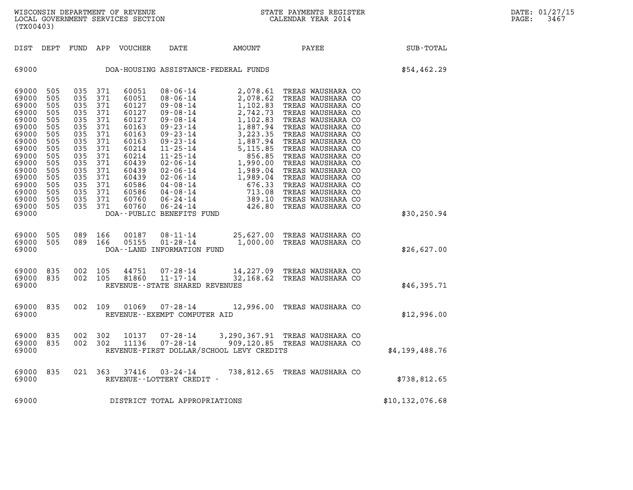WISCONSIN DEPARTMENT OF REVENUE<br>LOCAL GOVERNMENT SERVICES SECTION STATE PAYMENTS REGISTER SECONDER STATE PASS: SAGTE: 2014 WISCONSIN DEPARTMENT OF REVENUE<br>LOCAL GOVERNMENT SERVICES SECTION CALENDAR YEAR 2014<br>(TX00403) (TX00403) DIST DEPT FUND APP VOUCHER DATE AMOUNT PAYEE SUB-TOTAL 69000 DOA-HOUSING ASSISTANCE-FEDERAL FUNDS \$54,462.29 69000 505 035 371 60051 08-06-14 2,078.61 TREAS WAUSHARA CO 69000 505 035 371 60051 08-06-14 2,078.61 TREAS WAUSHARA CO<br>69000 505 035 371 60051 08-06-14 2,078.62 TREAS WAUSHARA CO<br>69000 505 035 371 60127 09-08-14 1,102.83 TREAS WAUSHARA CO 69000 505 035 371 60051 08-06-14 2,078.61 TREAS WAUSHARA CO<br>69000 505 035 371 60051 08-06-14 2,078.62 TREAS WAUSHARA CO<br>69000 505 035 371 60127 09-08-14 1,102.83 TREAS WAUSHARA CO<br>69000 505 035 371 60127 09-08-14 2.742.73 69000 505 035 371 60051 08-06-14 2,078.61 TREAS WAUSHARA CO<br>69000 505 035 371 60051 08-06-14 2,078.62 TREAS WAUSHARA CO<br>69000 505 035 371 60127 09-08-14 1,102.83 TREAS WAUSHARA CO<br>69000 505 035 371 60127 09-08-14 2,742.73 69000 505 035 371 60051 08-06-14 2,078.62 TREAS WAUSHARA CO<br>69000 505 035 371 60127 09-08-14 1,102.83 TREAS WAUSHARA CO<br>69000 505 035 371 60127 09-08-14 2,742.73 TREAS WAUSHARA CO<br>69000 505 035 371 60127 09-08-14 1,887.94 69000 505 035 371 60127 09-08-14 1,102.83 TREASWAUSHARA CO<br>69000 505 035 371 60127 09-08-14 2,742.73 TREASWAUSHARA CO<br>69000 505 035 371 60163 09-08-14 1,102.83 TREASWAUSHARA CO<br>69000 505 035 371 60163 09-23-14 1,887.94 TRE 69000 505 035 371 60127 09-08-14 2,742.73 TREAS WAUSHARA CO<br>69000 505 035 371 60127 09-08-14 1,102.83 TREAS WAUSHARA CO<br>69000 505 035 371 60163 09-23-14 3,223.35 TREAS WAUSHARA CO<br>69000 505 035 371 60163 09-23-14 3,223.35 69000 505 035 371 60127 09-08-14 1,102.83 TREASWAUSHARA CO<br>69000 505 035 371 60163 09-23-14 1,887.94 TREASWAUSHARA CO<br>69000 505 035 371 60163 09-23-14 3,223.35 TREASWAUSHARA CO<br>69000 505 035 371 60163 09-23-14 1,887.94 TRE 69000 505 035 371 60163 09-23-14 1,887.94 TREAS WAUSHARA CO<br>69000 505 035 371 60163 09-23-14 3,223.35 TREAS WAUSHARA CO<br>69000 505 035 371 60163 09-23-14 1,887.94 TREAS WAUSHARA CO<br>69000 505 035 371 60214 11-25-14 5,115.85 69000 505 035 371 60163 09-23-14 3,223.35 TREASWAUSHARA CO<br>69000 505 035 371 60163 09-23-14 1,887.94 TREASWAUSHARA CO<br>69000 505 035 371 60214 11-25-14 5,115.85 TREASWAUSHARA CO<br>69000 505 035 371 60214 11-25-14 1,990.00 TRE 69000 505 035 371 60163 09-23-14 1,887.94 TREAS WAUSHARA CO<br>69000 505 035 371 60214 11-25-14 5,115.85 TREAS WAUSHARA CO<br>69000 505 035 371 60214 11-25-14 856.85 TREAS WAUSHARA CO<br>69000 505 035 371 60439 02-06-14 1,989.00 TR 69000 505 035 371 60214 11-25-14 5,115.85 TREASWAUSHARA CO<br>69000 505 035 371 60214 11-25-14 856.85 TREASWAUSHARA CO<br>69000 505 035 371 60439 02-06-14 1,990.00 TREASWAUSHARA CO<br>69000 505 035 371 60439 02-06-14 1,989.04 TREAS 69000 505 035 371 60214 11-25-14 1656.85 TREAS WAUSHARA CO<br>69000 505 035 371 60439 02-06-14 1,990.00 TREAS WAUSHARA CO<br>69000 505 035 371 60439 02-06-14 1,989.04 TREAS WAUSHARA CO<br>69000 505 035 371 60439 02-06-14 1,989.04 T 69000 505 035 371 60439 02-06-14 1,990.00 TREASWAUSHARA CO<br>69000 505 035 371 60439 02-06-14 1,989.04 TREASWAUSHARA CO<br>69000 505 035 371 60586 04-06-14 1,989.04 TREASWAUSHARA CO<br>69000 505 035 371 60586 04-08-14 676.33 TREAS 69000 505 035 371 60439 02-06-14 1,989.04 TREASWAUSHARA CO<br>69000 505 035 371 60439 02-06-14 1,989.04 TREASWAUSHARA CO<br>69000 505 035 371 60586 04-08-14 676.33 TREASWAUSHARA CO<br>69000 505 035 371 60586 04-08-14 713.08 TREASWA 69000 505 035 371 60439 02-06-14 1,989.04 TREASWAUSHARA CO<br>69000 505 035 371 60586 04-08-14 676.33 TREASWAUSHARA CO<br>69000 505 035 371 60760 06-24-14 713.08 TREASWAUSHARA CO<br>69000 505 035 371 60760 06-24-14 389.10 TREASWAUS 69000 505 035 371 60586 04-08-14 676.33 TREASWAUSHARA CO<br>69000 505 035 371 60586 04-08-14 713.08 TREASWAUSHARA CO<br>69000 505 035 371 60760 06-24-14 389.10 TREASWAUSHARA CO<br>69000 505 035 371 60760 06-24-14 426.80 TREASWAUSHA 69000 DOA--PUBLIC BENEFITS FUND \$30,250.94 69000 505 089 166 00187 08-11-14 25,627.00 TREAS WAUSHARA CO 69000 505 089 166 00187 08-11-14 25,627.00 TREAS WAUSHARA CO<br>69000 505 089 166 05155 01-28-14 1,000.00 TREAS WAUSHARA CO<br>69000 DOA--LAND INFORMATION FUND 69000 DOA--LAND INFORMATION FUND \$26,627.00 69000 835 002 105 44751 07-28-14 14,227.09 TREAS WAUSHARA CO 69000 835 002 105 44751 07-28-14 14,227.09 TREAS WAUSHARA CO<br>69000 835 002 105 81860 11-17-14 32,168.62 TREAS WAUSHARA CO<br>69000 REVENUE--STATE SHARED REVENUES 69000 REVENUE--STATE SHARED REVENUES \$46,395.71 69000 835 002 109 01069 07-28-14 12,996.00 TREAS WAUSHARA CO 69000 REVENUE--EXEMPT COMPUTER AID \$12,996.00

69000 835 002 302 10137 07-28-14 3,290,367.91 TREAS WAUSHARA CO 69000 835 002 302 10137 07-28-14 3,290,367.91 TREAS WAUSHARA CO<br>69000 835 002 302 11136 07-28-14 909,120.85 TREAS WAUSHARA CO<br>69000 REVENUE-FIRST DOLLAR/SCHOOL LEVY CREDITS 69000 835 002 302 10137 07-28-14 3,290,367.91 TREASWAUSHARACO<br>69000 835 002 302 11136 07-28-14 909,120.85 TREASWAUSHARACO \$4,199,488.76<br>69000 REVENUE-FIRSTDOLLAR/SCHOOL LEVYCREDITS \$4,199,488.76

69000 835 021 363 37416 03-24-14 738,812.65 TREAS WAUSHARA CO 69000 835 021 363 37416 03-24-14 738,812.65 TREAS WAUSHARA CO<br>69000 REVENUE--LOTTERY CREDIT -69000 REVENUE - LOTTERY CREDIT -<br>69000 DISTRICT TOTAL APPROPRIATIONS \$10,132,076.68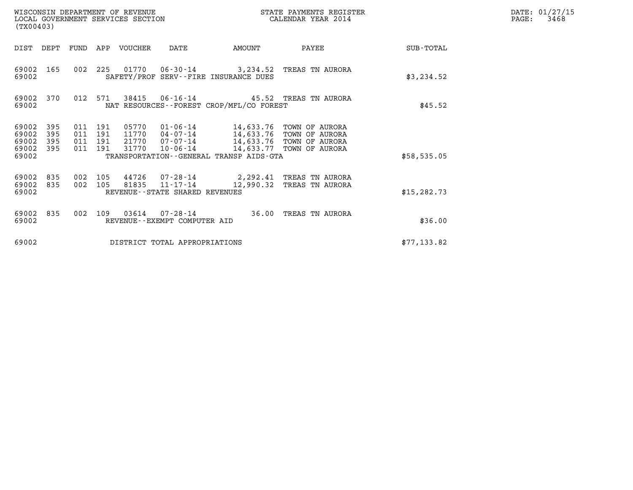| WISCONSIN DEPARTMENT OF REVENUE<br>LOCAL GOVERNMENT SERVICES SECTION<br>(TX00403)                                                                     |                                                                                                     | STATE PAYMENTS REGISTER<br>CALENDAR YEAR 2014                                                                |              | DATE: 01/27/15<br>PAGE:<br>3468 |
|-------------------------------------------------------------------------------------------------------------------------------------------------------|-----------------------------------------------------------------------------------------------------|--------------------------------------------------------------------------------------------------------------|--------------|---------------------------------|
| DIST DEPT<br>FUND<br>APP VOUCHER                                                                                                                      | AMOUNT<br>DATE                                                                                      | PAYEE                                                                                                        | SUB-TOTAL    |                                 |
| 002 225<br>69002<br>165<br>69002                                                                                                                      | 01770  06-30-14  3,234.52  TREAS TN AURORA<br>SAFETY/PROF SERV--FIRE INSURANCE DUES                 |                                                                                                              | \$3,234.52   |                                 |
| 38415<br>69002<br>012 571<br>370<br>69002                                                                                                             | 06-16-14 45.52 TREAS TN AURORA<br>NAT RESOURCES - - FOREST CROP/MFL/CO FOREST                       |                                                                                                              | \$45.52      |                                 |
| 69002<br>395<br>011 191<br>05770<br>69002<br>395<br>011 191<br>11770<br>69002<br>395<br>011 191<br>21770<br>395<br>011 191<br>31770<br>69002<br>69002 | $01 - 06 - 14$<br>04-07-14<br>$07 - 07 - 14$<br>10-06-14<br>TRANSPORTATION--GENERAL TRANSP AIDS-GTA | 14,633.76 TOWN OF AURORA<br>14,633.76 TOWN OF AURORA<br>14,633.76 TOWN OF AURORA<br>14,633.77 TOWN OF AURORA | \$58,535.05  |                                 |
| 69002<br>835<br>002 105<br>002 105<br>69002<br>835<br>81835<br>69002                                                                                  | 44726 07-28-14<br>$11 - 17 - 14$<br>REVENUE - - STATE SHARED REVENUES                               | 2,292.41 TREAS TN AURORA<br>12,990.32 TREAS TN AURORA                                                        | \$15, 282.73 |                                 |
| 69002<br>002<br>109<br>03614<br>835<br>69002                                                                                                          | 36.00<br>07-28-14<br>REVENUE--EXEMPT COMPUTER AID                                                   | TREAS TN AURORA                                                                                              | \$36.00      |                                 |
| 69002                                                                                                                                                 | DISTRICT TOTAL APPROPRIATIONS                                                                       |                                                                                                              | \$77, 133.82 |                                 |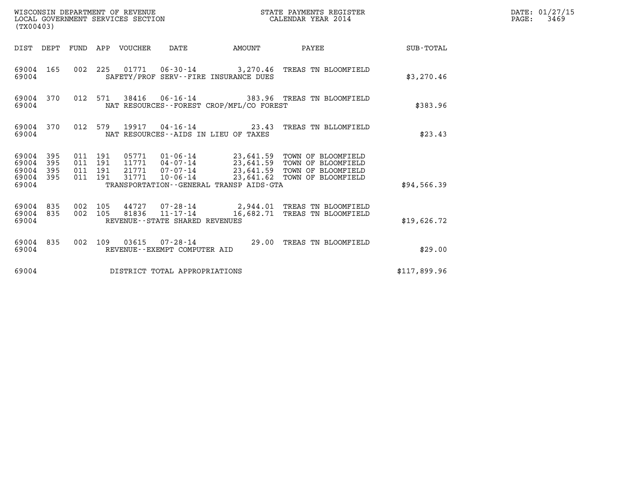| WISCONSIN DEPARTMENT OF REVENUE<br>STATE PAYMENTS REGISTER<br>LOCAL GOVERNMENT SERVICES SECTION<br>CALENDAR YEAR 2014<br>(TX00403) |                   |                                          |         |                                 |                                                  |                                          |                                                                                                                                                                                    |                  | DATE: 01/27/15<br>$\mathtt{PAGE:}$<br>3469 |
|------------------------------------------------------------------------------------------------------------------------------------|-------------------|------------------------------------------|---------|---------------------------------|--------------------------------------------------|------------------------------------------|------------------------------------------------------------------------------------------------------------------------------------------------------------------------------------|------------------|--------------------------------------------|
|                                                                                                                                    |                   |                                          |         | DIST DEPT FUND APP VOUCHER DATE |                                                  | AMOUNT                                   | PAYEE                                                                                                                                                                              | <b>SUB-TOTAL</b> |                                            |
| 69004 165<br>69004                                                                                                                 |                   |                                          |         |                                 |                                                  | SAFETY/PROF SERV--FIRE INSURANCE DUES    | 002 225 01771 06-30-14 3,270.46 TREAS TN BLOOMFIELD                                                                                                                                | \$3,270.46       |                                            |
| 69004                                                                                                                              | 69004 370         |                                          | 012 571 |                                 |                                                  | NAT RESOURCES--FOREST CROP/MFL/CO FOREST | 38416  06-16-14  383.96  TREAS TN BLOOMFIELD                                                                                                                                       | \$383.96         |                                            |
| 69004                                                                                                                              | 69004 370         |                                          |         |                                 |                                                  | NAT RESOURCES--AIDS IN LIEU OF TAXES     | 012 579 19917 04-16-14 23.43 TREAS TN BLLOMFIELD                                                                                                                                   | \$23.43          |                                            |
| 69004 395<br>69004<br>69004<br>69004<br>69004                                                                                      | 395<br>395<br>395 | 011 191<br>011 191<br>011 191<br>011 191 |         | 31771                           | 10-06-14                                         | TRANSPORTATION--GENERAL TRANSP AIDS-GTA  | 05771  01-06-14  23,641.59  TOWN OF BLOOMFIELD<br>11771  04-07-14  23,641.59  TOWN OF BLOOMFIELD<br>21771  07-07-14  23,641.59  TOWN OF BLOOMFIELD<br>23,641.62 TOWN OF BLOOMFIELD | \$94,566.39      |                                            |
| 69004 835<br>69004 835<br>69004                                                                                                    |                   | 002 105<br>002 105                       |         | 81836                           | $11 - 17 - 14$<br>REVENUE--STATE SHARED REVENUES |                                          | 44727 07-28-14 2,944.01 TREAS TN BLOOMFIELD<br>16,682.71 TREAS TN BLOOMFIELD                                                                                                       | \$19,626.72      |                                            |
| 69004                                                                                                                              | 69004 835         |                                          |         |                                 | REVENUE--EXEMPT COMPUTER AID                     |                                          | 002 109 03615 07-28-14 29.00 TREAS TN BLOOMFIELD                                                                                                                                   | \$29.00          |                                            |
| 69004                                                                                                                              |                   |                                          |         |                                 | DISTRICT TOTAL APPROPRIATIONS                    |                                          |                                                                                                                                                                                    | \$117,899.96     |                                            |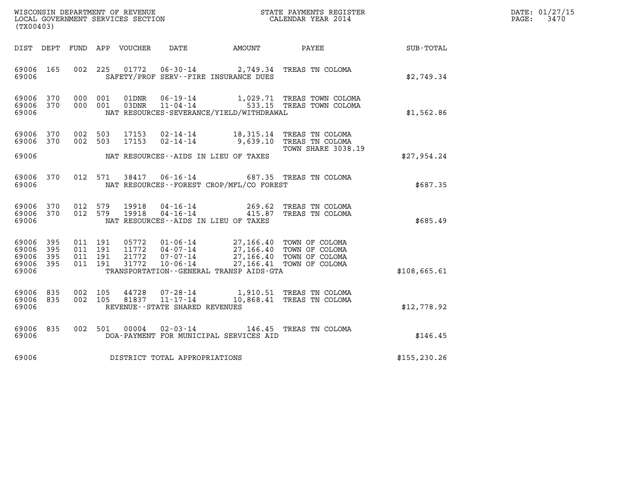| DATE: | 01/27/15 |
|-------|----------|
| PAGE: | 3470     |

|                                                                    |                                                                                                                                                                                                                                                                             |               | DATE: 01/27/15<br>$\mathtt{PAGE}$ :<br>3470 |
|--------------------------------------------------------------------|-----------------------------------------------------------------------------------------------------------------------------------------------------------------------------------------------------------------------------------------------------------------------------|---------------|---------------------------------------------|
| (TX00403)                                                          |                                                                                                                                                                                                                                                                             |               |                                             |
|                                                                    | DIST DEPT FUND APP VOUCHER DATE AMOUNT PAYEE TOTAL                                                                                                                                                                                                                          |               |                                             |
| 69006 165<br>69006                                                 | 01772<br>002 225<br>06-30-14 2,749.34 TREAS TN COLOMA<br>SAFETY/PROF SERV--FIRE INSURANCE DUES                                                                                                                                                                              | \$2,749.34    |                                             |
| 69006 370<br>69006 370<br>69006                                    | 000 001<br>01DNR<br>$06 - 19 - 14$<br>1,029.71 TREAS TOWN COLOMA<br>11-04-14 533.15 TREAS TOWN COLOMA<br>000 001<br>03DNR<br>NAT RESOURCES-SEVERANCE/YIELD/WITHDRAWAL                                                                                                       | \$1,562.86    |                                             |
| 69006<br>370<br>69006<br>370                                       | 002 503<br>17153<br>02-14-14 18,315.14 TREAS TN COLOMA<br>002 503<br>17153<br>02-14-14 9,639.10 TREAS TN COLOMA                                                                                                                                                             |               |                                             |
| 69006                                                              | <b>TOWN SHARE 3038.19</b><br>NAT RESOURCES--AIDS IN LIEU OF TAXES                                                                                                                                                                                                           | \$27,954.24   |                                             |
| 370<br>69006<br>69006                                              | 38417  06-16-14  687.35  TREAS TN COLOMA<br>012 571<br>NAT RESOURCES - - FOREST CROP/MFL/CO FOREST                                                                                                                                                                          | \$687.35      |                                             |
| 69006 370<br>69006 370<br>69006                                    | 012 579<br>$19918 \t 04-16-14 \t 269.62 \t TREAS TN COLOMA19918 \t 04-16-14 \t 415.87 \t TREAS TN COLOMA$<br>012 579<br>NAT RESOURCES--AIDS IN LIEU OF TAXES                                                                                                                | \$685.49      |                                             |
| 69006<br>395<br>69006<br>395<br>69006<br>395<br>69006 395<br>69006 | 011 191<br>05772  01-06-14  27,166.40  TOWN OF COLOMA<br>11772  04-07-14  27,166.40  TOWN OF COLOMA<br>011 191<br>011 191<br>27,166.40 TOWN OF COLOMA<br>21772 07-07-14<br>31772 10-06-14<br>011 191<br>27,166.41 TOWN OF COLOMA<br>TRANSPORTATION--GENERAL TRANSP AIDS-GTA | \$108.665.61  |                                             |
| 69006<br>835<br>69006<br>835<br>69006                              | 44728<br>002 105<br>07-28-14<br>1,910.51 TREAS TN COLOMA<br>10,868.41 TREAS TN COLOMA<br>$11 - 17 - 14$<br>002 105<br>81837<br>REVENUE - - STATE SHARED REVENUES                                                                                                            | \$12,778.92   |                                             |
| 69006 835<br>69006                                                 | 002 501<br>00004<br>02-03-14 146.45 TREAS TN COLOMA<br>DOA-PAYMENT FOR MUNICIPAL SERVICES AID                                                                                                                                                                               | \$146.45      |                                             |
| 69006                                                              | DISTRICT TOTAL APPROPRIATIONS                                                                                                                                                                                                                                               | \$155, 230.26 |                                             |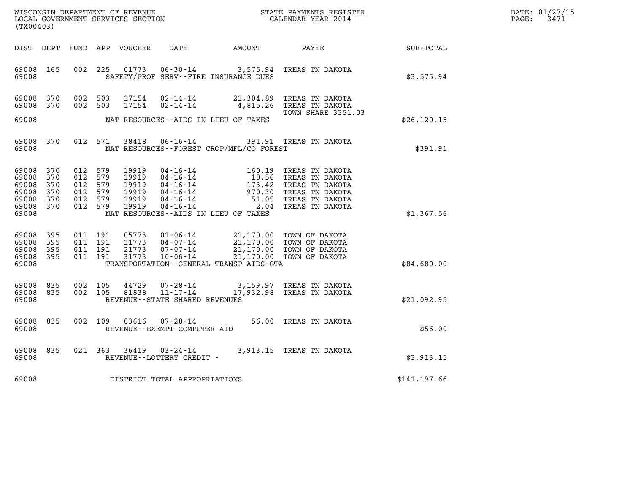| WISCONSIN DEPARTMENT OF REVENUE   | STATE PAYMENTS REGISTER | DATE: 01/27/15 |
|-----------------------------------|-------------------------|----------------|
| LOCAL GOVERNMENT SERVICES SECTION | CALENDAR YEAR 2014      | 3471<br>PAGE:  |

| (TX00403)                                                           |                          |                               |                                                                                                                                                                                                                                                |                                                                                                                                                                                                                                                                                           |                                                                                                                                                                                                                                                                                                                                                                |               | DATE: 01/27/15<br>PAGE:<br>3471 |
|---------------------------------------------------------------------|--------------------------|-------------------------------|------------------------------------------------------------------------------------------------------------------------------------------------------------------------------------------------------------------------------------------------|-------------------------------------------------------------------------------------------------------------------------------------------------------------------------------------------------------------------------------------------------------------------------------------------|----------------------------------------------------------------------------------------------------------------------------------------------------------------------------------------------------------------------------------------------------------------------------------------------------------------------------------------------------------------|---------------|---------------------------------|
|                                                                     |                          |                               | DIST DEPT FUND APP VOUCHER DATE AMOUNT PAYEE SUB-TOTAL                                                                                                                                                                                         |                                                                                                                                                                                                                                                                                           |                                                                                                                                                                                                                                                                                                                                                                |               |                                 |
| 69008                                                               | 69008 165                |                               | 002 225 01773 06-30-14 3,575.94 TREAS TN DAKOTA<br>SAFETY/PROF SERV--FIRE INSURANCE DUES                                                                                                                                                       |                                                                                                                                                                                                                                                                                           |                                                                                                                                                                                                                                                                                                                                                                | \$3,575.94    |                                 |
| 69008 370<br>69008 370                                              |                          |                               | 002 503<br>17154<br>002 503<br>17154                                                                                                                                                                                                           |                                                                                                                                                                                                                                                                                           | 02-14-14 21,304.89 TREAS TN DAKOTA<br>02-14-14 4,815.26 TREAS TN DAKOTA                                                                                                                                                                                                                                                                                        |               |                                 |
| 69008                                                               |                          |                               | NAT RESOURCES--AIDS IN LIEU OF TAXES                                                                                                                                                                                                           |                                                                                                                                                                                                                                                                                           | <b>TOWN SHARE 3351.03</b>                                                                                                                                                                                                                                                                                                                                      | \$26, 120.15  |                                 |
| 69008                                                               | 69008 370                |                               | 012 571 38418<br>NAT RESOURCES -- FOREST CROP/MFL/CO FOREST                                                                                                                                                                                    |                                                                                                                                                                                                                                                                                           | 06-16-14 391.91 TREAS TN DAKOTA                                                                                                                                                                                                                                                                                                                                | \$391.91      |                                 |
| 69008<br>69008<br>69008<br>69008<br>69008 370<br>69008 370<br>69008 | 370<br>370<br>370<br>370 | 012 579<br>012 579<br>012 579 | 012 579<br>19919<br>012 579<br>19919<br>19919<br>19919<br>012 579<br>19919<br>19919<br>NAT RESOURCES--AIDS IN LIEU OF TAXES                                                                                                                    |                                                                                                                                                                                                                                                                                           | $\begin{tabular}{lllllllllllll} 04-16-14 & 160.19 & \text{TREAS TN DAKOTA} \\ 04-16-14 & 10.56 & \text{TREAS TN DAKOTA} \\ 04-16-14 & 173.42 & \text{TREAS TN DAKOTA} \\ 04-16-14 & 970.30 & \text{TREAS TN DAKOTA} \\ 04-16-14 & 51.05 & \text{TREAS TN DAKOTA} \\ 04-16-14 & 2.04 & \text{TREAS TN DAKOTA} \\ 04-15-14 & 2.04 & \text{TREAS TN DAKOTA} \end$ | \$1,367.56    |                                 |
| 69008 395<br>69008<br>69008<br>69008 395<br>69008                   | 395<br>395               |                               | 011 191<br>05773<br>011 191<br>11773<br>21773<br>011 191<br>011 191<br>31773<br>TRANSPORTATION--GENERAL TRANSP AIDS-GTA                                                                                                                        | $\begin{array}{cccc} 01\text{-}06\text{-}14 & 21,170.00 & \text{TOWN OF DAKOTA} \\ 04\text{-}07\text{-}14 & 21,170.00 & \text{TOWN OF DAKOTA} \\ 07\text{-}07\text{-}14 & 21,170.00 & \text{TOWN OF DAKOTA} \\ 10\text{-}06\text{-}14 & 21,170.00 & \text{TOWN OF DAKOTA} \\ \end{array}$ |                                                                                                                                                                                                                                                                                                                                                                | \$84,680.00   |                                 |
| 69008 835<br>69008<br>69008                                         | 835                      |                               | $\begin{array}{cccc} 44729 & 07\texttt{-}28\texttt{-}14 & 3,159.97 & \texttt{TREAS TN DAKOTA}\\ 81838 & 11\texttt{-}17\texttt{-}14 & 17,932.98 & \texttt{TREAS TN DAKOTA} \end{array}$<br>002 105<br>002 105<br>REVENUE--STATE SHARED REVENUES |                                                                                                                                                                                                                                                                                           |                                                                                                                                                                                                                                                                                                                                                                | \$21,092.95   |                                 |
| 69008<br>69008                                                      | 835                      |                               | 002 109 03616<br>REVENUE--EXEMPT COMPUTER AID                                                                                                                                                                                                  |                                                                                                                                                                                                                                                                                           | 07-28-14 56.00 TREAS TN DAKOTA                                                                                                                                                                                                                                                                                                                                 | \$56.00       |                                 |
| 69008<br>69008                                                      | 835                      |                               | 021 363 36419<br>REVENUE--LOTTERY CREDIT -                                                                                                                                                                                                     |                                                                                                                                                                                                                                                                                           | 03-24-14 3,913.15 TREAS TN DAKOTA                                                                                                                                                                                                                                                                                                                              | \$3,913.15    |                                 |
| 69008                                                               |                          |                               | DISTRICT TOTAL APPROPRIATIONS                                                                                                                                                                                                                  |                                                                                                                                                                                                                                                                                           |                                                                                                                                                                                                                                                                                                                                                                | \$141, 197.66 |                                 |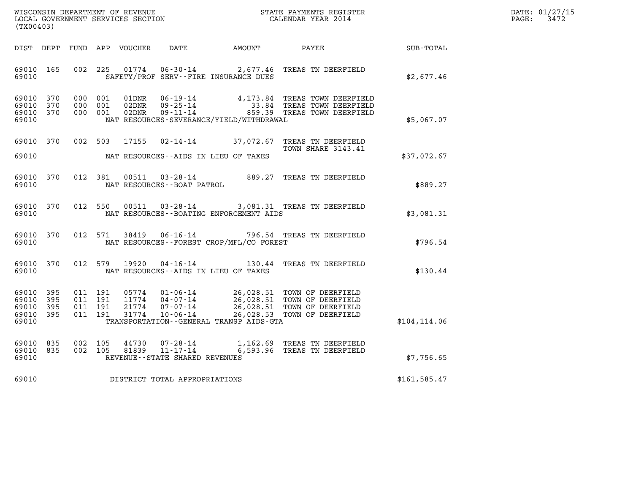| WISCONSIN DEPARTMENT OF REVENUE   | STATE PAYMENTS REGISTER | DATE: 01/27/15 |
|-----------------------------------|-------------------------|----------------|
| LOCAL GOVERNMENT SERVICES SECTION | CALENDAR YEAR 2014      | 3472<br>PAGE:  |

| (TX00403)                                 |                          |                          |                          | WISCONSIN DEPARTMENT OF REVENUE<br>LOCAL GOVERNMENT SERVICES SECTION |                                                                      |                                                                                             | STATE PAYMENTS REGISTER<br>CALENDAR YEAR 2014                                    |                  |
|-------------------------------------------|--------------------------|--------------------------|--------------------------|----------------------------------------------------------------------|----------------------------------------------------------------------|---------------------------------------------------------------------------------------------|----------------------------------------------------------------------------------|------------------|
| DIST                                      | DEPT                     | FUND                     | APP                      | <b>VOUCHER</b>                                                       | DATE                                                                 | AMOUNT                                                                                      | PAYEE                                                                            | <b>SUB-TOTAL</b> |
| 69010<br>69010                            | 165                      | 002                      | 225                      | 01774                                                                | $06 - 30 - 14$<br>SAFETY/PROF SERV--FIRE INSURANCE DUES              | 2,677.46                                                                                    | TREAS TN DEERFIELD                                                               | \$2,677.46       |
| 69010<br>69010<br>69010<br>69010          | 370<br>370<br>370        | 000<br>000<br>000        | 001<br>001<br>001        | 01DNR<br>02DNR<br>02DNR                                              | $06 - 19 - 14$<br>$09 - 25 - 14$<br>$09 - 11 - 14$                   | 4,173.84<br>33.84<br>859.39<br>NAT RESOURCES-SEVERANCE/YIELD/WITHDRAWAL                     | TREAS TOWN DEERFIELD<br>TREAS TOWN DEERFIELD<br>TREAS TOWN DEERFIELD             | \$5,067.07       |
| 69010<br>69010                            | 370                      | 002                      | 503                      | 17155                                                                | $02 - 14 - 14$<br>NAT RESOURCES -- AIDS IN LIEU OF TAXES             | 37,072.67                                                                                   | TREAS TN DEERFIELD<br>TOWN SHARE 3143.41                                         | \$37,072.67      |
| 69010<br>69010                            | 370                      | 012                      | 381                      | 00511                                                                | $03 - 28 - 14$<br>NAT RESOURCES - - BOAT PATROL                      | 889.27                                                                                      | TREAS TN DEERFIELD                                                               | \$889.27         |
| 69010<br>69010                            | 370                      | 012                      | 550                      | 00511                                                                | $03 - 28 - 14$                                                       | NAT RESOURCES - - BOATING ENFORCEMENT AIDS                                                  | 3,081.31 TREAS TN DEERFIELD                                                      | \$3,081.31       |
| 69010<br>69010                            | 370                      | 012                      | 571                      | 38419                                                                | $06 - 16 - 14$                                                       | 796.54<br>NAT RESOURCES - - FOREST CROP/MFL/CO FOREST                                       | TREAS TN DEERFIELD                                                               | \$796.54         |
| 69010<br>69010                            | 370                      | 012                      | 579                      | 19920                                                                | $04 - 16 - 14$<br>NAT RESOURCES -- AIDS IN LIEU OF TAXES             | 130.44                                                                                      | TREAS TN DEERFIELD                                                               | \$130.44         |
| 69010<br>69010<br>69010<br>69010<br>69010 | 395<br>395<br>395<br>395 | 011<br>011<br>011<br>011 | 191<br>191<br>191<br>191 | 05774<br>11774<br>21774<br>31774                                     | $01 - 06 - 14$<br>$04 - 07 - 14$<br>$07 - 07 - 14$<br>$10 - 06 - 14$ | 26,028.51<br>26,028.51<br>26,028.51<br>26,028.53<br>TRANSPORTATION--GENERAL TRANSP AIDS-GTA | TOWN OF DEERFIELD<br>TOWN OF DEERFIELD<br>TOWN OF DEERFIELD<br>TOWN OF DEERFIELD | \$104, 114.06    |
| 69010<br>69010<br>69010                   | 835<br>835               | 002<br>002               | 105<br>105               | 44730<br>81839                                                       | $07 - 28 - 14$<br>$11 - 17 - 14$<br>REVENUE--STATE SHARED REVENUES   | 6,593.96                                                                                    | 1,162.69 TREAS TN DEERFIELD<br>TREAS TN DEERFIELD                                | \$7,756.65       |
| 69010                                     |                          |                          |                          |                                                                      | DISTRICT TOTAL APPROPRIATIONS                                        |                                                                                             |                                                                                  | \$161, 585.47    |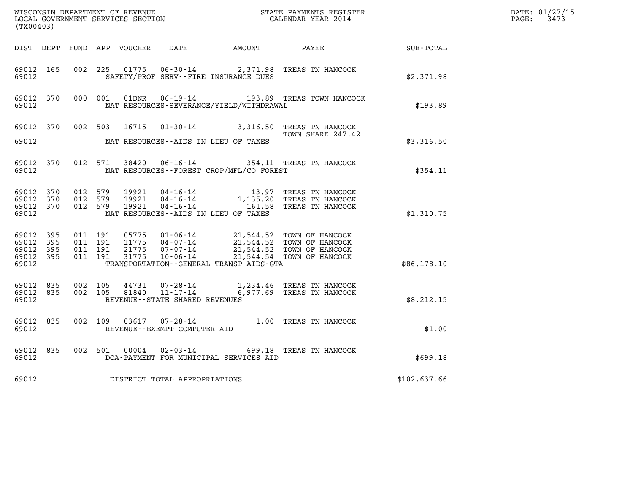| (TX00403)                                             |     |                                          |         |                |                                                  |                                              | WISCONSIN DEPARTMENT OF REVENUE<br>LOCAL GOVERNMENT SERVICES SECTION<br>LOCAL GOVERNMENT SERVICES SECTION<br>CALENDAR YEAR 2014                                  |              | DATE: 01/27/15<br>$\mathtt{PAGE:}$<br>3473 |
|-------------------------------------------------------|-----|------------------------------------------|---------|----------------|--------------------------------------------------|----------------------------------------------|------------------------------------------------------------------------------------------------------------------------------------------------------------------|--------------|--------------------------------------------|
|                                                       |     |                                          |         |                |                                                  |                                              | DIST DEPT FUND APP VOUCHER DATE AMOUNT PAYEE SUB-TOTAL                                                                                                           |              |                                            |
| 69012 165<br>69012                                    |     | 002 225                                  |         |                |                                                  | SAFETY/PROF SERV--FIRE INSURANCE DUES        | 01775  06-30-14  2,371.98  TREAS TN HANCOCK                                                                                                                      | \$2,371.98   |                                            |
| 69012 370<br>69012                                    |     | 000 001                                  |         | 01DNR          |                                                  | NAT RESOURCES-SEVERANCE/YIELD/WITHDRAWAL     | 06-19-14 193.89 TREAS TOWN HANCOCK                                                                                                                               | \$193.89     |                                            |
| 69012 370<br>69012                                    |     |                                          |         |                |                                                  | NAT RESOURCES--AIDS IN LIEU OF TAXES         | 002 503 16715 01-30-14 3,316.50 TREAS TN HANCOCK<br>TOWN SHARE 247.42                                                                                            | \$3,316.50   |                                            |
| 69012 370<br>69012                                    |     |                                          | 012 571 |                |                                                  | NAT RESOURCES--FOREST CROP/MFL/CO FOREST     | 38420  06-16-14  354.11  TREAS TN HANCOCK                                                                                                                        | \$354.11     |                                            |
| 69012 370<br>69012 370<br>69012 370<br>69012          |     | 012 579<br>012 579<br>012 579            |         |                |                                                  | NAT RESOURCES--AIDS IN LIEU OF TAXES         | 19921  04-16-14   13.97 TREAS TN HANCOCK<br>19921  04-16-14   1,135.20 TREAS TN HANCOCK<br>19921  04-16-14   161.58 TREAS TN HANCOCK                             | \$1,310.75   |                                            |
| 69012 395<br>69012<br>69012 395<br>69012 395<br>69012 | 395 | 011 191<br>011 191<br>011 191<br>011 191 |         | 21775<br>31775 |                                                  | TRANSPORTATION - - GENERAL TRANSP AIDS - GTA | 05775 01-06-14 21,544.52 TOWN OF HANCOCK<br>11775 04-07-14 21,544.52 TOWN OF HANCOCK<br>07-07-14 21,544.52 TOWN OF HANCOCK<br>10-06-14 21,544.54 TOWN OF HANCOCK | \$86,178.10  |                                            |
| 69012 835<br>69012 835<br>69012                       |     | 002 105                                  | 002 105 | 44731<br>81840 | $11 - 17 - 14$<br>REVENUE--STATE SHARED REVENUES |                                              | 07-28-14 1,234.46 TREAS TN HANCOCK<br>6,977.69 TREAS TN HANCOCK                                                                                                  | \$8,212.15   |                                            |
| 69012 835<br>69012                                    |     |                                          | 002 109 |                | REVENUE--EXEMPT COMPUTER AID                     |                                              | 03617 07-28-14 1.00 TREAS TN HANCOCK                                                                                                                             | \$1.00       |                                            |
| 69012 835<br>69012                                    |     |                                          |         |                |                                                  | DOA-PAYMENT FOR MUNICIPAL SERVICES AID       | 002 501 00004 02-03-14 699.18 TREAS TN HANCOCK                                                                                                                   | \$699.18     |                                            |
| 69012                                                 |     |                                          |         |                | DISTRICT TOTAL APPROPRIATIONS                    |                                              |                                                                                                                                                                  | \$102,637.66 |                                            |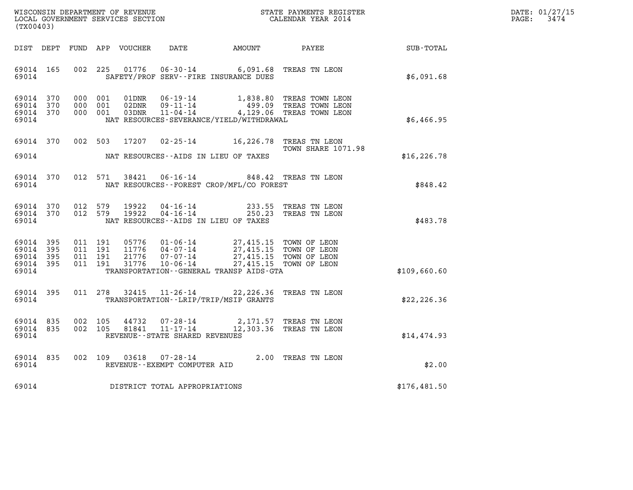| DATE: | 01/27/15 |
|-------|----------|
| PAGE: | 3474     |

| (TX00403)                                                 |  |                                          |                                                        |                                                                                                                                                                                                                         |                             |              | DATE: 01/27/15<br>$\mathtt{PAGE:}$<br>3474 |
|-----------------------------------------------------------|--|------------------------------------------|--------------------------------------------------------|-------------------------------------------------------------------------------------------------------------------------------------------------------------------------------------------------------------------------|-----------------------------|--------------|--------------------------------------------|
|                                                           |  | DIST DEPT FUND APP VOUCHER               |                                                        |                                                                                                                                                                                                                         | DATE AMOUNT PAYEE SUB-TOTAL |              |                                            |
| 69014 165<br>69014                                        |  | 002 225                                  |                                                        | 01776  06-30-14  6,091.68  TREAS TN LEON<br>SAFETY/PROF SERV--FIRE INSURANCE DUES                                                                                                                                       |                             | \$6,091.68   |                                            |
| 69014 370<br>69014 370<br>69014 370<br>69014              |  | 000 001<br>000 001<br>000 001            | 01DNR<br>02DNR                                         | 06-19-14 1,838.80 TREAS TOWN LEON<br>09-11-14 499.09 TREAS TOWN LEON<br>03DNR 11-04-14 4,129.06 TREAS TOWN LEON<br>NAT RESOURCES-SEVERANCE/YIELD/WITHDRAWAL                                                             |                             | \$6,466.95   |                                            |
| 69014 370<br>69014                                        |  | 002 503 17207                            |                                                        | 02-25-14 16,226.78 TREAS TN LEON<br>NAT RESOURCES--AIDS IN LIEU OF TAXES                                                                                                                                                | <b>TOWN SHARE 1071.98</b>   | \$16, 226.78 |                                            |
| 69014 370<br>69014                                        |  | 012 571                                  |                                                        | 38421  06-16-14  848.42  TREAS TN LEON<br>NAT RESOURCES--FOREST CROP/MFL/CO FOREST                                                                                                                                      |                             | \$848.42     |                                            |
| 69014 370<br>69014 370<br>69014                           |  | 012 579<br>012 579                       | 19922<br>19922                                         | 04-16-14 233.55 TREAS TN LEON<br>04-16-14 250.23 TREAS TN LEON<br>NAT RESOURCES--AIDS IN LIEU OF TAXES                                                                                                                  |                             | \$483.78     |                                            |
| 69014 395<br>69014 395<br>69014 395<br>69014 395<br>69014 |  | 011 191<br>011 191<br>011 191<br>011 191 |                                                        | 05776  01-06-14  27,415.15  TOWN OF LEON<br>11776  04-07-14  27,415.15  TOWN OF LEON<br>21776  07-07-14  27,415.15  TOWN OF LEON<br>31776  10-06-14  27,415.15  TOWN OF LEON<br>TRANSPORTATION--GENERAL TRANSP AIDS-GTA |                             | \$109,660.60 |                                            |
| 69014 395<br>69014                                        |  |                                          |                                                        | 011 278 32415 11-26-14 22,226.36 TREAS TN LEON<br>TRANSPORTATION - - LRIP/TRIP/MSIP GRANTS                                                                                                                              |                             | \$22,226.36  |                                            |
| 69014 835<br>69014 835<br>69014                           |  | 002 105<br>002 105                       | REVENUE--STATE SHARED REVENUES                         | $\begin{array}{cccccc} 44732 & 07\text{-}28\text{-}14 & & 2,171.57 & \text{TREAS TN LEON} \\ 81841 & 11\text{-}17\text{-}14 & & 12,303.36 & \text{TREAS TN LEON} \end{array}$                                           |                             | \$14,474.93  |                                            |
| 69014 835<br>69014                                        |  |                                          | 002 109 03618 07-28-14<br>REVENUE--EXEMPT COMPUTER AID |                                                                                                                                                                                                                         | 2.00 TREAS TN LEON          | \$2.00       |                                            |
|                                                           |  |                                          | 69014 DISTRICT TOTAL APPROPRIATIONS                    |                                                                                                                                                                                                                         |                             | \$176,481.50 |                                            |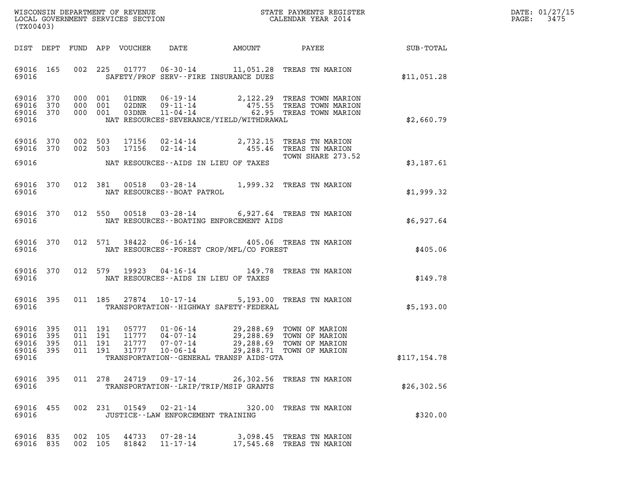| DATE: | 01/27/15 |
|-------|----------|
| PAGE: | 3475     |

| (TX00403)                                                                                                                                                                                                                                                                                                                                                                              | DATE: 01/27/15<br>3475<br>PAGE: |
|----------------------------------------------------------------------------------------------------------------------------------------------------------------------------------------------------------------------------------------------------------------------------------------------------------------------------------------------------------------------------------------|---------------------------------|
| DIST DEPT FUND APP VOUCHER<br>DATE<br>AMOUNT<br><b>PAYEE</b> FOUND THE PAYEE<br>SUB-TOTAL                                                                                                                                                                                                                                                                                              |                                 |
| 002 225<br>69016 165<br>01777  06-30-14   11,051.28   TREAS TN MARION<br>69016<br>SAFETY/PROF SERV--FIRE INSURANCE DUES<br>\$11,051.28                                                                                                                                                                                                                                                 |                                 |
| 69016 370<br>000 001<br>06-19-14 2,122.29 TREAS TOWN MARION<br>09-11-14 475.55 TREAS TOWN MARION<br>11-04-14 62.95 TREAS TOWN MARION<br>01DNR<br>69016 370<br>000 001<br>02DNR<br>69016 370<br>000 001<br>03DNR<br>69016<br>NAT RESOURCES-SEVERANCE/YIELD/WITHDRAWAL<br>\$2,660.79                                                                                                     |                                 |
| 69016 370<br>002 503<br>17156<br>02-14-14 2,732.15 TREAS TN MARION<br>$02 - 14 - 14$<br>69016 370<br>002 503<br>17156<br>455.46 TREAS TN MARION<br>TOWN SHARE 273.52<br>69016<br>NAT RESOURCES--AIDS IN LIEU OF TAXES<br>\$3,187.61                                                                                                                                                    |                                 |
| 69016 370<br>012 381 00518<br>03-28-14 1,999.32 TREAS TN MARION<br>69016<br>NAT RESOURCES--BOAT PATROL<br>\$1,999.32                                                                                                                                                                                                                                                                   |                                 |
| 69016 370<br>012 550<br>00518<br>03-28-14 6,927.64 TREAS TN MARION<br>69016<br>NAT RESOURCES - - BOATING ENFORCEMENT AIDS<br>\$6,927.64                                                                                                                                                                                                                                                |                                 |
| 06-16-14 405.06 TREAS TN MARION<br>69016 370<br>012 571<br>38422<br>NAT RESOURCES - - FOREST CROP/MFL/CO FOREST<br>69016<br>\$405.06                                                                                                                                                                                                                                                   |                                 |
| 04-16-14 149.78 TREAS TN MARION<br>69016 370<br>012 579<br>19923<br>69016<br>NAT RESOURCES--AIDS IN LIEU OF TAXES<br>\$149.78                                                                                                                                                                                                                                                          |                                 |
| 69016 395<br>011 185<br>27874 10-17-14<br>5,193.00 TREAS TN MARION<br>69016<br>TRANSPORTATION - - HIGHWAY SAFETY - FEDERAL<br>\$5,193.00                                                                                                                                                                                                                                               |                                 |
| 69016<br>395<br>011 191<br>05777<br>$01 - 06 - 14$<br>29,288.69 TOWN OF MARION<br>191<br>69016<br>395<br>011<br>11777<br>$04 - 07 - 14$<br>29,288.69 TOWN OF MARION<br>69016 395<br>011 191<br>21777<br>$07 - 07 - 14$<br>29,288.69 TOWN OF MARION<br>69016 395<br>011 191 31777 10-06-14 29,288.71 TOWN OF MARION<br>\$117,154.78<br>69016<br>TRANSPORTATION--GENERAL TRANSP AIDS-GTA |                                 |
| 011 278 24719 09-17-14 26,302.56 TREAS TN MARION<br>69016 395<br>69016<br>TRANSPORTATION - - LRIP/TRIP/MSIP GRANTS<br>\$26, 302.56                                                                                                                                                                                                                                                     |                                 |
| 002 231 01549 02-21-14 320.00 TREAS TN MARION<br>69016 455<br>69016<br>\$320.00<br>JUSTICE -- LAW ENFORCEMENT TRAINING                                                                                                                                                                                                                                                                 |                                 |
| 69016 835<br>44733<br>07-28-14 3,098.45 TREAS TN MARION<br>002 105<br>002 105<br>69016 835<br>81842<br>11-17-14<br>17,545.68 TREAS TN MARION                                                                                                                                                                                                                                           |                                 |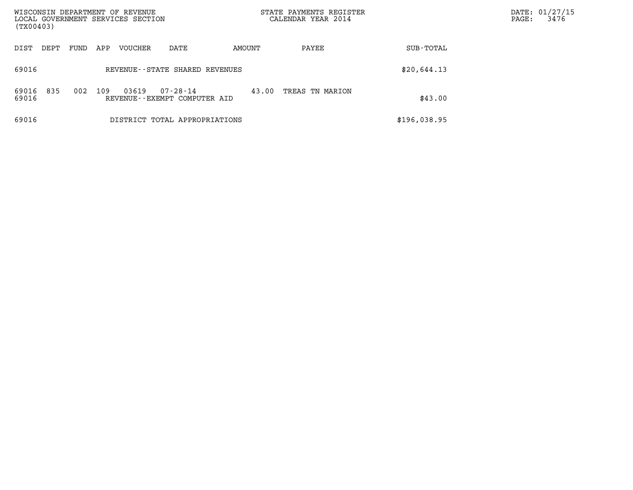| WISCONSIN DEPARTMENT OF REVENUE<br>LOCAL GOVERNMENT SERVICES SECTION |                                                          |        | STATE PAYMENTS REGISTER<br>CALENDAR YEAR 2014 | DATE: 01/27/15<br>3476<br>PAGE: |
|----------------------------------------------------------------------|----------------------------------------------------------|--------|-----------------------------------------------|---------------------------------|
| (TX00403)                                                            |                                                          |        |                                               |                                 |
| DIST<br>DEPT<br>FUND                                                 | VOUCHER<br>APP<br>DATE                                   | AMOUNT | PAYEE<br>SUB-TOTAL                            |                                 |
| 69016                                                                | REVENUE--STATE SHARED REVENUES                           |        | \$20,644.13                                   |                                 |
| 835<br>002<br>69016<br>69016                                         | 109<br>03619<br>07-28-14<br>REVENUE--EXEMPT COMPUTER AID | 43.00  | TREAS TN MARION<br>\$43.00                    |                                 |
| 69016                                                                | DISTRICT TOTAL APPROPRIATIONS                            |        | \$196,038.95                                  |                                 |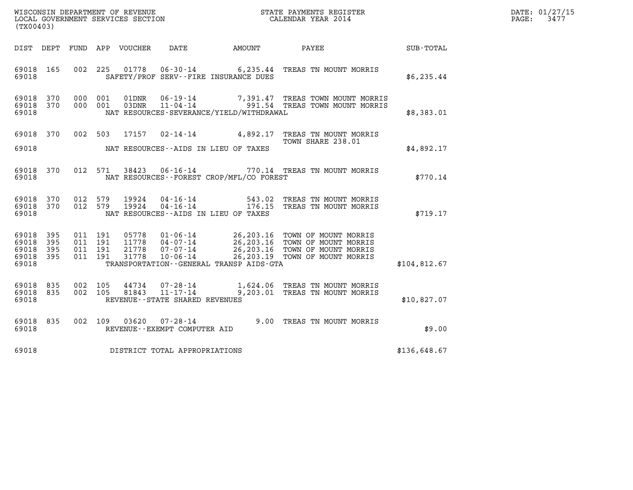| DATE: | 01/27/15 |
|-------|----------|
| PAGE: | 3477     |

| ${\tt WISCOONSIM} \begin{tabular}{lcccc} DEPARTMENT OF REVENUE & & & & & & \begin{tabular}{l} \bf STATE \textit{ PAYMENTS \textit{ REGISTER} \\ \bf LOCAL \textit{GOVERNMENT} \textit{SERVICES} \textit{SECTION} & & & & & \begin{tabular}{l} \bf CALENDAR \textit{ YEAR} \end{tabular} \end{tabular} \end{tabular}$<br>(TX00403) |           |         |                                          |                |                                                        |                                              |                                                                                                                                                                                                          |              | DATE: 01/27/15<br>$\mathtt{PAGE:}$<br>3477 |
|-----------------------------------------------------------------------------------------------------------------------------------------------------------------------------------------------------------------------------------------------------------------------------------------------------------------------------------|-----------|---------|------------------------------------------|----------------|--------------------------------------------------------|----------------------------------------------|----------------------------------------------------------------------------------------------------------------------------------------------------------------------------------------------------------|--------------|--------------------------------------------|
|                                                                                                                                                                                                                                                                                                                                   |           |         |                                          |                |                                                        |                                              |                                                                                                                                                                                                          |              |                                            |
|                                                                                                                                                                                                                                                                                                                                   |           |         |                                          |                |                                                        | DIST DEPT FUND APP VOUCHER DATE AMOUNT       | PAYEE                                                                                                                                                                                                    | SUB-TOTAL    |                                            |
| 69018 165<br>69018                                                                                                                                                                                                                                                                                                                |           |         | 002 225                                  |                |                                                        | SAFETY/PROF SERV--FIRE INSURANCE DUES        | 01778  06-30-14  6,235.44 TREAS TN MOUNT MORRIS                                                                                                                                                          | \$6, 235.44  |                                            |
| 69018 370<br>69018 370<br>69018                                                                                                                                                                                                                                                                                                   |           |         | 000 001<br>000 001                       | 01DNR<br>03DNR |                                                        | NAT RESOURCES-SEVERANCE/YIELD/WITHDRAWAL     | 06-19-14 7,391.47 TREAS TOWN MOUNT MORRIS<br>11-04-14 991.54 TREAS TOWN MOUNT MORRIS                                                                                                                     | \$8,383.01   |                                            |
| 69018 370<br>69018                                                                                                                                                                                                                                                                                                                |           |         | 002 503                                  |                |                                                        | NAT RESOURCES--AIDS IN LIEU OF TAXES         | 17157 02-14-14 4,892.17 TREAS TN MOUNT MORRIS<br>TOWN SHARE 238.01                                                                                                                                       | \$4,892.17   |                                            |
|                                                                                                                                                                                                                                                                                                                                   |           |         |                                          |                |                                                        |                                              |                                                                                                                                                                                                          |              |                                            |
| 69018                                                                                                                                                                                                                                                                                                                             | 69018 370 |         |                                          | 012 571 38423  |                                                        | NAT RESOURCES--FOREST CROP/MFL/CO FOREST     | 06-16-14 770.14 TREAS TN MOUNT MORRIS                                                                                                                                                                    | \$770.14     |                                            |
| 69018 370<br>69018 370<br>69018                                                                                                                                                                                                                                                                                                   |           | 012 579 | 012 579                                  | 19924<br>19924 |                                                        | NAT RESOURCES--AIDS IN LIEU OF TAXES         | 04-16-14 543.02 TREAS TN MOUNT MORRIS<br>04-16-14 176.15 TREAS TN MOUNT MORRIS                                                                                                                           | \$719.17     |                                            |
| 69018 395<br>69018<br>69018 395<br>69018 395<br>69018                                                                                                                                                                                                                                                                             | 395       |         | 011 191<br>011 191<br>011 191<br>011 191 |                |                                                        | TRANSPORTATION - - GENERAL TRANSP AIDS - GTA | 05778  01-06-14  26,203.16 TOWN OF MOUNT MORRIS<br>11778  04-07-14  26,203.16 TOWN OF MOUNT MORRIS<br>21778  07-07-14  26,203.16 TOWN OF MOUNT MORRIS<br>31778  10-06-14  26,203.19 TOWN OF MOUNT MORRIS | \$104,812.67 |                                            |
|                                                                                                                                                                                                                                                                                                                                   |           |         |                                          |                |                                                        |                                              |                                                                                                                                                                                                          |              |                                            |
| 69018 835<br>69018 835<br>69018                                                                                                                                                                                                                                                                                                   |           |         | 002 105<br>002 105                       | 44734<br>81843 | 07-28-14<br>11-17-14<br>REVENUE--STATE SHARED REVENUES |                                              | 1,624.06 TREAS TN MOUNT MORRIS<br>9,203.01 TREAS TN MOUNT MORRIS                                                                                                                                         | \$10.827.07  |                                            |
| 69018 835<br>69018                                                                                                                                                                                                                                                                                                                |           |         | 002 109                                  |                | REVENUE--EXEMPT COMPUTER AID                           |                                              | 03620  07-28-14  9.00 TREAS TN MOUNT MORRIS                                                                                                                                                              | \$9.00       |                                            |
| 69018                                                                                                                                                                                                                                                                                                                             |           |         |                                          |                | DISTRICT TOTAL APPROPRIATIONS                          |                                              |                                                                                                                                                                                                          | \$136,648.67 |                                            |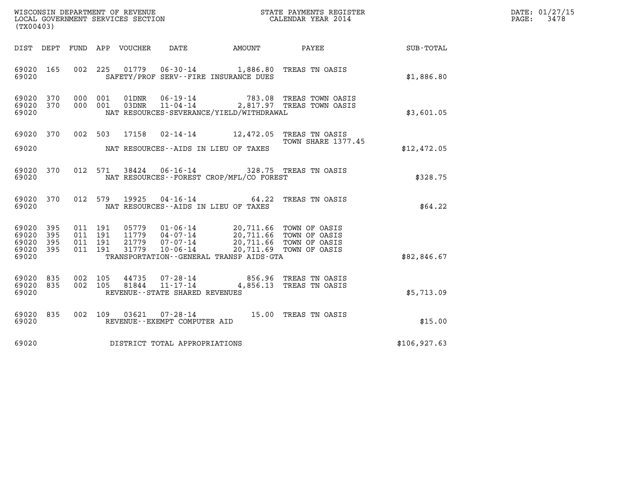| DATE: | 01/27/15 |
|-------|----------|
| PAGE: | 3478     |

| (TX00403)                                                             |                                                                                                                                                                                                                             |                                                                    | DATE: 01/27/15<br>3478<br>PAGE: |
|-----------------------------------------------------------------------|-----------------------------------------------------------------------------------------------------------------------------------------------------------------------------------------------------------------------------|--------------------------------------------------------------------|---------------------------------|
|                                                                       | DIST DEPT FUND APP VOUCHER DATE<br>AMOUNT                                                                                                                                                                                   | PAYEE<br>SUB-TOTAL                                                 |                                 |
| 69020 165<br>69020                                                    | 06-30-14 1,886.80 TREAS TN OASIS<br>002 225<br>01779<br>SAFETY/PROF SERV--FIRE INSURANCE DUES                                                                                                                               | \$1,886.80                                                         |                                 |
| 69020<br>370<br>69020 370<br>69020                                    | 000 001<br>01DNR<br>$06 - 19 - 14$<br>000 001<br>03DNR<br>$11 - 04 - 14$<br>NAT RESOURCES-SEVERANCE/YIELD/WITHDRAWAL                                                                                                        | 783.08 TREAS TOWN OASIS<br>2,817.97 TREAS TOWN OASIS<br>\$3,601.05 |                                 |
| 69020 370<br>69020                                                    | 17158  02-14-14   12,472.05   TREAS TN OASIS<br>002 503<br>NAT RESOURCES--AIDS IN LIEU OF TAXES                                                                                                                             | TOWN SHARE 1377.45<br>\$12,472.05                                  |                                 |
| 370<br>69020<br>69020                                                 | 38424  06-16-14  328.75  TREAS TN OASIS<br>012 571<br>NAT RESOURCES--FOREST CROP/MFL/CO FOREST                                                                                                                              | \$328.75                                                           |                                 |
| 69020 370<br>69020                                                    | 19925<br>012 579<br>04-16-14 64.22 TREAS TN OASIS<br>NAT RESOURCES -- AIDS IN LIEU OF TAXES                                                                                                                                 | \$64.22                                                            |                                 |
| 395<br>69020<br>69020<br>395<br>69020<br>395<br>69020<br>395<br>69020 | 011 191<br>05779  01-06-14  20,711.66 TOWN OF OASIS<br>11779  04-07-14  20,711.66 TOWN OF OASIS<br>011 191<br>011 191<br>21779<br>07-07-14<br>$10 - 06 - 14$<br>011 191<br>31779<br>TRANSPORTATION--GENERAL TRANSP AIDS-GTA | 20,711.66 TOWN OF OASIS<br>20,711.69 TOWN OF OASIS<br>\$82,846.67  |                                 |
| 69020 835<br>69020 835<br>69020                                       | 002 105<br>44735<br>07-28-14 856.96 TREAS TN OASIS<br>81844<br>$11 - 17 - 14$<br>002 105<br>REVENUE - - STATE SHARED REVENUES                                                                                               | 4,856.13 TREAS TN OASIS<br>\$5,713.09                              |                                 |
| 69020 835<br>69020                                                    | 07-28-14 15.00 TREAS TN OASIS<br>002 109<br>03621<br>REVENUE--EXEMPT COMPUTER AID                                                                                                                                           | \$15.00                                                            |                                 |
| 69020                                                                 | DISTRICT TOTAL APPROPRIATIONS                                                                                                                                                                                               | \$106, 927.63                                                      |                                 |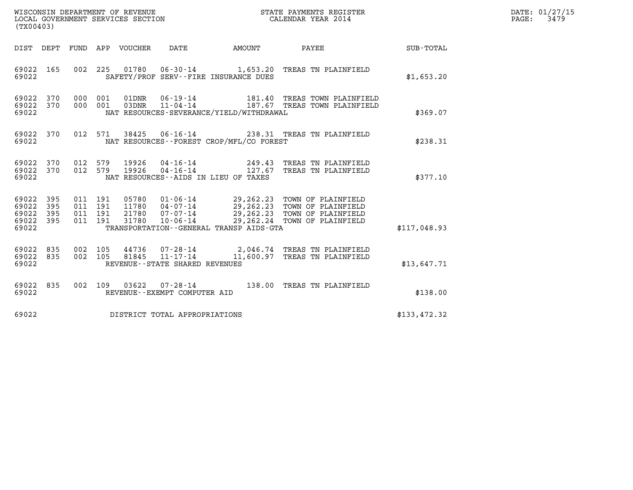| WISCONSIN DEPARTMENT OF REVENUE<br>LOCAL GOVERNMENT SERVICES SECTION<br>$1$ musical $1$ $0$ $0$ $1$ | STATE PAYMENTS REGISTER<br>CALENDAR YEAR 2014 | DATE: 01/27/15<br>3479<br>$\mathtt{PAGE}$ : |
|-----------------------------------------------------------------------------------------------------|-----------------------------------------------|---------------------------------------------|

| (TX00403)                                                             |                          |                                                                                                                                                                                                                                                                                                                            |                                   |
|-----------------------------------------------------------------------|--------------------------|----------------------------------------------------------------------------------------------------------------------------------------------------------------------------------------------------------------------------------------------------------------------------------------------------------------------------|-----------------------------------|
| DIST<br>DEPT                                                          | FUND                     | <b>DATE</b><br>APP<br>VOUCHER<br>AMOUNT<br>PAYEE                                                                                                                                                                                                                                                                           | <b>SUB-TOTAL</b>                  |
| 69022<br>165<br>69022                                                 | 002                      | 225<br>01780<br>06-30-14 1,653.20 TREAS TN PLAINFIELD<br>SAFETY/PROF SERV--FIRE INSURANCE DUES                                                                                                                                                                                                                             | \$1,653.20                        |
| 69022<br>370<br>370<br>69022<br>69022                                 | 000<br>000               | 06-19-14<br>001<br>01DNR<br>181.40<br>03DNR<br>$11 - 04 - 14$<br>001<br>187.67 TREAS TOWN PLAINFIELD<br>NAT RESOURCES-SEVERANCE/YIELD/WITHDRAWAL                                                                                                                                                                           | TREAS TOWN PLAINFIELD<br>\$369.07 |
| 69022<br>370<br>69022                                                 | 012                      | 571<br>38425<br>$06 - 16 - 14$<br>238.31 TREAS TN PLAINFIELD<br>NAT RESOURCES - - FOREST CROP/MFL/CO FOREST                                                                                                                                                                                                                | \$238.31                          |
| 69022<br>370<br>69022<br>370<br>69022                                 | 012<br>012               | 579<br>19926<br>04-16-14<br>TREAS TN PLAINFIELD<br>249.43<br>$04 - 16 - 14$<br>579<br>19926<br>127.67<br>TREAS TN PLAINFIELD<br>NAT RESOURCES - - AIDS IN LIEU OF TAXES                                                                                                                                                    | \$377.10                          |
| 69022<br>395<br>69022<br>395<br>69022<br>395<br>69022<br>395<br>69022 | 011<br>011<br>011<br>011 | 191<br>05780<br>$01 - 06 - 14$<br>29,262.23<br>TOWN OF PLAINFIELD<br>191<br>11780<br>04-07-14<br>29,262.23<br>TOWN OF PLAINFIELD<br>29,262.23<br>191<br>21780<br>$07 - 07 - 14$<br>TOWN OF PLAINFIELD<br>191<br>31780<br>$10 - 06 - 14$<br>29,262.24<br>TOWN OF PLAINFIELD<br>TRANSPORTATION - - GENERAL TRANSP AIDS - GTA | \$117,048.93                      |
| 69022<br>835<br>69022<br>835<br>69022                                 | 002<br>002               | 105<br>44736<br>$07 - 28 - 14$<br>2,046.74 TREAS TN PLAINFIELD<br>$11 - 17 - 14$<br>105<br>81845<br>11,600.97<br>TREAS TN PLAINFIELD<br>REVENUE - - STATE SHARED REVENUES                                                                                                                                                  | \$13,647.71                       |
| 69022<br>835<br>69022                                                 | 002                      | 109<br>03622<br>138.00 TREAS TN PLAINFIELD<br>$07 - 28 - 14$<br>REVENUE--EXEMPT COMPUTER AID                                                                                                                                                                                                                               | \$138.00                          |
| 69022                                                                 |                          | DISTRICT TOTAL APPROPRIATIONS                                                                                                                                                                                                                                                                                              | \$133,472.32                      |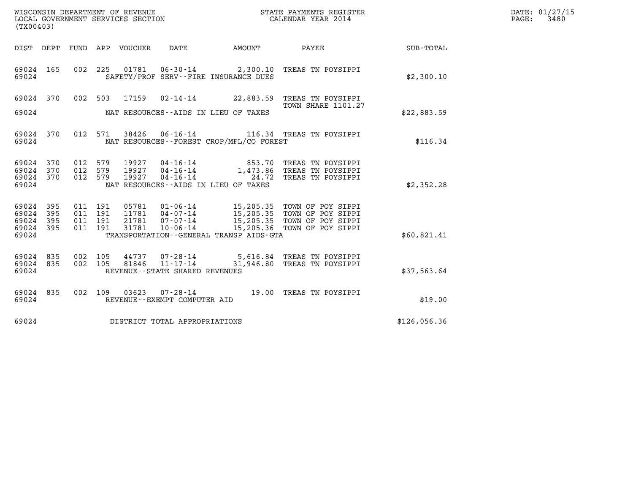| WISCONSIN DEPARTMENT OF REVENUE<br>LOCAL GOVERNMENT SERVICES SECTION<br>(TX00403) |                   |                                          |                    |                                 |                                   |                                          | STATE PAYMENTS REGISTER<br>CALENDAR YEAR 2014                                                                                                                                                    |              | DATE: 01/27/15<br>$\mathtt{PAGE:}$<br>3480 |
|-----------------------------------------------------------------------------------|-------------------|------------------------------------------|--------------------|---------------------------------|-----------------------------------|------------------------------------------|--------------------------------------------------------------------------------------------------------------------------------------------------------------------------------------------------|--------------|--------------------------------------------|
|                                                                                   |                   |                                          |                    | DIST DEPT FUND APP VOUCHER DATE |                                   |                                          | AMOUNT PAYEE SUB-TOTAL                                                                                                                                                                           |              |                                            |
| 69024 165<br>69024                                                                |                   |                                          |                    |                                 |                                   | SAFETY/PROF SERV--FIRE INSURANCE DUES    | 002 225 01781 06-30-14 2,300.10 TREAS TN POYSIPPI                                                                                                                                                | \$2,300.10   |                                            |
|                                                                                   |                   |                                          |                    |                                 |                                   |                                          | 69024 370 002 503 17159 02-14-14 22,883.59 TREAS TN POYSIPPI                                                                                                                                     |              |                                            |
| 69024                                                                             |                   |                                          |                    |                                 |                                   | NAT RESOURCES--AIDS IN LIEU OF TAXES     | <b>TOWN SHARE 1101.27</b>                                                                                                                                                                        | \$22,883.59  |                                            |
| 69024 370<br>69024                                                                |                   |                                          |                    |                                 |                                   | NAT RESOURCES--FOREST CROP/MFL/CO FOREST | 012 571 38426 06-16-14 116.34 TREAS TN POYSIPPI                                                                                                                                                  | \$116.34     |                                            |
| 69024<br>69024<br>69024<br>69024                                                  | 370<br>370<br>370 | 012 579<br>012 579<br>012 579            |                    | 19927<br>19927<br>19927         |                                   | NAT RESOURCES -- AIDS IN LIEU OF TAXES   | 04-16-14 853.70 TREAS TN POYSIPPI<br>04-16-14 1,473.86 TREAS TN POYSIPPI<br>04-16-14 24.72 TREAS TN POYSIPPI                                                                                     | \$2,352.28   |                                            |
| 69024 395<br>69024<br>69024<br>69024<br>69024                                     | 395<br>395<br>395 | 011 191<br>011 191<br>011 191<br>011 191 |                    |                                 |                                   | TRANSPORTATION--GENERAL TRANSP AIDS-GTA  | 05781  01-06-14  15,205.35  TOWN OF POY SIPPI<br>11781  04-07-14  15,205.35  TOWN OF POY SIPPI<br>21781  07-07-14  15,205.35  TOWN OF POY SIPPI<br>31781  10-06-14  15,205.36  TOWN OF POY SIPPI | \$60,821.41  |                                            |
| 69024 835<br>69024 835<br>69024                                                   |                   |                                          | 002 105<br>002 105 |                                 | REVENUE - - STATE SHARED REVENUES |                                          | 44737 07-28-14 5,616.84 TREAS TN POYSIPPI<br>81846  11-17-14  31,946.80 TREAS TN POYSIPPI                                                                                                        | \$37,563.64  |                                            |
| 69024 835<br>69024                                                                |                   |                                          |                    |                                 | REVENUE--EXEMPT COMPUTER AID      |                                          | 002 109 03623 07-28-14 19.00 TREAS TN POYSIPPI                                                                                                                                                   | \$19.00      |                                            |
| 69024                                                                             |                   |                                          |                    |                                 | DISTRICT TOTAL APPROPRIATIONS     |                                          |                                                                                                                                                                                                  | \$126,056.36 |                                            |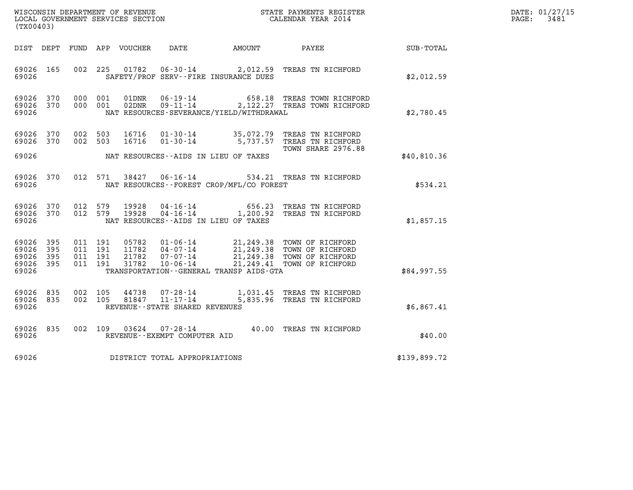| WISCONSIN DEPARTMENT OF REVENUE   | STATE PAYMENTS REGISTER | DATE: 01/27/15 |
|-----------------------------------|-------------------------|----------------|
| LOCAL GOVERNMENT SERVICES SECTION | CALENDAR YEAR 2014      | 3481<br>PAGE:  |

| WISCONSIN DEPARTMENT OF REVENUE<br>LOCAL GOVERNMENT SERVICES SECTION<br>CALENDAR YEAR 2014<br>(TX00403) |           |  |         |                                |                                   |                                          |                                                                                                                               |              | DATE: 01/27/15<br>$\mathtt{PAGE:}$<br>3481 |
|---------------------------------------------------------------------------------------------------------|-----------|--|---------|--------------------------------|-----------------------------------|------------------------------------------|-------------------------------------------------------------------------------------------------------------------------------|--------------|--------------------------------------------|
|                                                                                                         |           |  |         |                                |                                   |                                          | DIST DEPT FUND APP VOUCHER DATE AMOUNT PAYEE                                                                                  | SUB-TOTAL    |                                            |
| 69026                                                                                                   | 69026 165 |  |         |                                |                                   | SAFETY/PROF SERV--FIRE INSURANCE DUES    | 002 225 01782 06-30-14 2,012.59 TREAS TN RICHFORD                                                                             | \$2,012.59   |                                            |
| 69026<br>69026 370<br>69026                                                                             | 370       |  | 000 001 | 01DNR<br>000 001 02DNR         |                                   | NAT RESOURCES-SEVERANCE/YIELD/WITHDRAWAL | 06-19-14 658.18 TREAS TOWN RICHFORD<br>09-11-14 2,122.27 TREAS TOWN RICHFORD                                                  | \$2,780.45   |                                            |
| 69026 370                                                                                               | 69026 370 |  |         |                                |                                   |                                          | 002 503 16716 01-30-14 35,072.79 TREAS TN RICHFORD<br>002 503 16716 01-30-14 5,737.57 TREAS TN RICHFORD<br>TOWN SHARE 2976.88 |              |                                            |
| 69026                                                                                                   |           |  |         |                                |                                   | NAT RESOURCES--AIDS IN LIEU OF TAXES     |                                                                                                                               | \$40,810.36  |                                            |
| 69026<br>69026                                                                                          | 370       |  |         |                                |                                   | NAT RESOURCES--FOREST CROP/MFL/CO FOREST | 012 571 38427 06-16-14 534.21 TREAS TN RICHFORD                                                                               | \$534.21     |                                            |
| 69026<br>69026 370<br>69026                                                                             | 370       |  |         |                                |                                   | NAT RESOURCES--AIDS IN LIEU OF TAXES     | 012 579 19928 04-16-14 656.23 TREAS TN RICHFORD<br>012 579 19928 04-16-14 1,200.92 TREAS TN RICHFORD                          | \$1,857.15   |                                            |
| 69026 395<br>69026<br>69026 395<br>69026 395<br>69026                                                   | 395       |  |         |                                |                                   | TRANSPORTATION--GENERAL TRANSP AIDS-GTA  |                                                                                                                               | \$84,997.55  |                                            |
| 69026 835<br>69026 835<br>69026                                                                         |           |  |         | 002 105 44738<br>002 105 81847 | REVENUE - - STATE SHARED REVENUES |                                          | 07-28-14 1,031.45 TREAS TN RICHFORD<br>11-17-14 5,835.96 TREAS TN RICHFORD                                                    | \$6,867.41   |                                            |
| 69026 835<br>69026                                                                                      |           |  |         |                                | REVENUE - - EXEMPT COMPUTER AID   |                                          | 002 109 03624 07-28-14 40.00 TREAS TN RICHFORD                                                                                | \$40.00      |                                            |
| 69026                                                                                                   |           |  |         |                                | DISTRICT TOTAL APPROPRIATIONS     |                                          |                                                                                                                               | \$139,899.72 |                                            |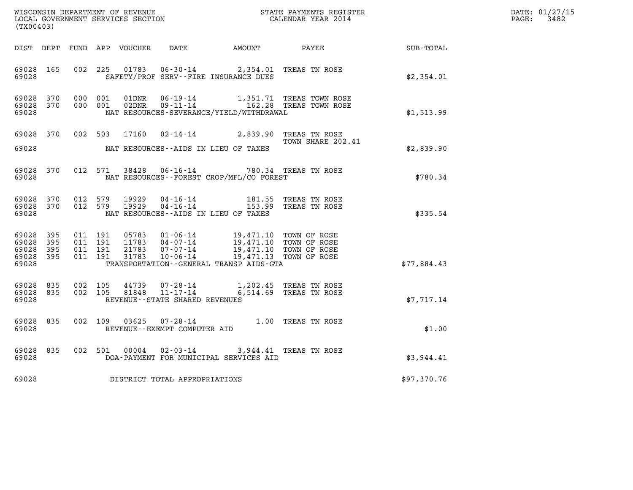| (TX00403)                                                       |                                                            |                                |                                                                                                                                                                                                       | WISCONSIN DEPARTMENT OF REVENUE<br>LOCAL GOVERNMENT SERVICES SECTION<br>(TWARA 2014 |             | DATE: 01/27/15<br>$\mathtt{PAGE:}$<br>3482 |
|-----------------------------------------------------------------|------------------------------------------------------------|--------------------------------|-------------------------------------------------------------------------------------------------------------------------------------------------------------------------------------------------------|-------------------------------------------------------------------------------------|-------------|--------------------------------------------|
|                                                                 |                                                            |                                |                                                                                                                                                                                                       | DIST DEPT FUND APP VOUCHER DATE AMOUNT PAYEE SUB-TOTAL                              |             |                                            |
| 69028 165<br>69028                                              | 002 225                                                    |                                | 01783  06-30-14  2,354.01 TREAS TN ROSE<br>SAFETY/PROF SERV--FIRE INSURANCE DUES                                                                                                                      |                                                                                     | \$2,354.01  |                                            |
| 69028<br>370<br>69028 370<br>69028                              | 000 001<br>01DNR<br>000 001<br>02DNR                       |                                | NAT RESOURCES-SEVERANCE/YIELD/WITHDRAWAL                                                                                                                                                              | 06-19-14 1,351.71 TREAS TOWN ROSE<br>09-11-14 162.28 TREAS TOWN ROSE                | \$1,513.99  |                                            |
| 69028 370<br>69028                                              |                                                            |                                | 002 503 17160 02-14-14 2,839.90 TREAS TN ROSE<br>NAT RESOURCES--AIDS IN LIEU OF TAXES                                                                                                                 | TOWN SHARE 202.41                                                                   | \$2,839.90  |                                            |
| 69028 370<br>69028                                              |                                                            |                                | 012 571 38428 06-16-14 780.34 TREAS TN ROSE<br>NAT RESOURCES - - FOREST CROP/MFL/CO FOREST                                                                                                            |                                                                                     | \$780.34    |                                            |
| 69028 370<br>69028 370<br>69028                                 | 012 579<br>012 579                                         |                                | NAT RESOURCES--AIDS IN LIEU OF TAXES                                                                                                                                                                  |                                                                                     | \$335.54    |                                            |
| 69028<br>395<br>69028<br>395<br>69028 395<br>69028 395<br>69028 | 011 191<br>011 191<br>011 191<br>21783<br>011 191<br>31783 |                                | 05783  01-06-14  19,471.10  TOWN OF ROSE<br>11783  04-07-14  19,471.10  TOWN OF ROSE<br>07-07-14 19,471.10 TOWN OF ROSE<br>10-06-14 19,471.13 TOWN OF ROSE<br>TRANSPORTATION--GENERAL TRANSP AIDS-GTA |                                                                                     | \$77.884.43 |                                            |
| 69028 835<br>69028 835<br>69028                                 | 002 105<br>44739<br>81848<br>002 105                       | REVENUE--STATE SHARED REVENUES | 07-28-14 1,202.45 TREAS TN ROSE<br>11-17-14 6,514.69 TREAS TN ROSE                                                                                                                                    |                                                                                     | \$7.717.14  |                                            |
| 69028<br>835<br>69028                                           | 03625<br>002 109                                           | REVENUE--EXEMPT COMPUTER AID   | 07-28-14 $1.00$ TREAS TN ROSE                                                                                                                                                                         |                                                                                     | \$1.00      |                                            |
| 69028<br>835<br>69028                                           | 002 501 00004                                              |                                | 02-03-14 3,944.41 TREAS TN ROSE<br>DOA-PAYMENT FOR MUNICIPAL SERVICES AID                                                                                                                             |                                                                                     | \$3,944.41  |                                            |
| 69028                                                           |                                                            | DISTRICT TOTAL APPROPRIATIONS  |                                                                                                                                                                                                       |                                                                                     | \$97,370.76 |                                            |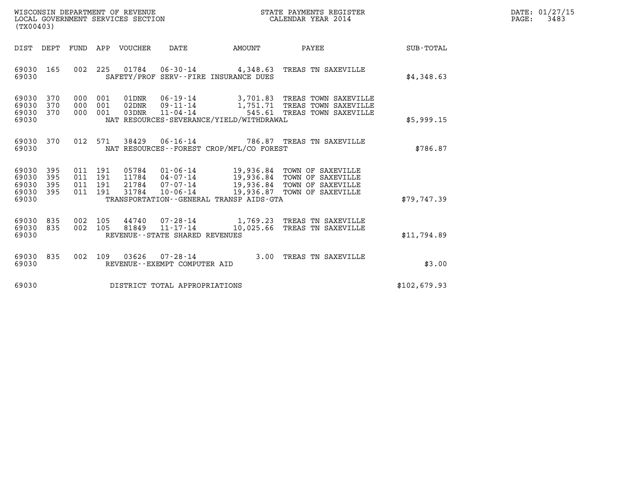| WISCONSIN DEPARTMENT OF REVENUE   | STATE PAYMENTS REGISTER | DATE: 01/27/15 |
|-----------------------------------|-------------------------|----------------|
| LOCAL GOVERNMENT SERVICES SECTION | CALENDAR YEAR 2014      | 3483<br>PAGE:  |

| DATE<br>PAYEE<br>DIST<br>DEPT<br>FUND<br>APP<br>VOUCHER<br>AMOUNT<br><b>SUB-TOTAL</b><br>002<br>69030<br>165<br>225<br>01784  06-30-14  4,348.63  TREAS TN SAXEVILLE<br>\$4,348.63<br>69030<br>SAFETY/PROF SERV--FIRE INSURANCE DUES<br>69030<br>370<br>000<br>001<br>01DNR<br>06-19-14 3,701.83 TREAS TOWN SAXEVILLE<br>370<br>000<br>001<br>1,751.71 TREAS TOWN SAXEVILLE<br>69030<br>02DNR<br>$09 - 11 - 14$<br>$11 - 04 - 14$<br>545.61 TREAS TOWN SAXEVILLE<br>370<br>001<br>69030<br>000<br>03DNR<br>NAT RESOURCES-SEVERANCE/YIELD/WITHDRAWAL<br>69030<br>\$5,999.15<br>370<br>012<br>571<br>38429   06-16-14   786.87   TREAS TN SAXEVILLE<br>69030<br>\$786.87<br>69030<br>NAT RESOURCES - - FOREST CROP/MFL/CO FOREST<br>395<br>69030<br>011<br>191<br>05784 01-06-14<br>19,936.84 TOWN OF SAXEVILLE<br>19,936.84 TOWN OF SAXEVILLE<br>11784 04-07-14<br>69030<br>395<br>011<br>191<br>21784 07-07-14<br>19,936.84 TOWN OF SAXEVILLE<br>69030<br>395<br>011<br>191<br>69030<br>31784<br>$10 - 06 - 14$<br>19,936.87 TOWN OF SAXEVILLE<br>395<br>011<br>191<br>69030<br>TRANSPORTATION--GENERAL TRANSP AIDS-GTA<br>\$79,747.39<br>69030<br>835<br>002<br>105<br>44740 07-28-14 1,769.23 TREAS TN SAXEVILLE<br>81849  11-17-14  10,025.66  TREAS TN SAXEVILLE<br>69030<br>835<br>002<br>105<br>REVENUE - - STATE SHARED REVENUES<br>\$11,794.89<br>69030<br>69030<br>835<br>002<br>109<br>03626<br>$07 - 28 - 14$<br>3.00<br>TREAS TN SAXEVILLE<br>69030<br>\$3.00<br>REVENUE--EXEMPT COMPUTER AID<br>69030<br>\$102,679.93<br>DISTRICT TOTAL APPROPRIATIONS | (TX00403) |  |  |  |  |  |
|---------------------------------------------------------------------------------------------------------------------------------------------------------------------------------------------------------------------------------------------------------------------------------------------------------------------------------------------------------------------------------------------------------------------------------------------------------------------------------------------------------------------------------------------------------------------------------------------------------------------------------------------------------------------------------------------------------------------------------------------------------------------------------------------------------------------------------------------------------------------------------------------------------------------------------------------------------------------------------------------------------------------------------------------------------------------------------------------------------------------------------------------------------------------------------------------------------------------------------------------------------------------------------------------------------------------------------------------------------------------------------------------------------------------------------------------------------------------------------------------------------------------------------------------------------------------|-----------|--|--|--|--|--|
|                                                                                                                                                                                                                                                                                                                                                                                                                                                                                                                                                                                                                                                                                                                                                                                                                                                                                                                                                                                                                                                                                                                                                                                                                                                                                                                                                                                                                                                                                                                                                                     |           |  |  |  |  |  |
|                                                                                                                                                                                                                                                                                                                                                                                                                                                                                                                                                                                                                                                                                                                                                                                                                                                                                                                                                                                                                                                                                                                                                                                                                                                                                                                                                                                                                                                                                                                                                                     |           |  |  |  |  |  |
|                                                                                                                                                                                                                                                                                                                                                                                                                                                                                                                                                                                                                                                                                                                                                                                                                                                                                                                                                                                                                                                                                                                                                                                                                                                                                                                                                                                                                                                                                                                                                                     |           |  |  |  |  |  |
|                                                                                                                                                                                                                                                                                                                                                                                                                                                                                                                                                                                                                                                                                                                                                                                                                                                                                                                                                                                                                                                                                                                                                                                                                                                                                                                                                                                                                                                                                                                                                                     |           |  |  |  |  |  |
|                                                                                                                                                                                                                                                                                                                                                                                                                                                                                                                                                                                                                                                                                                                                                                                                                                                                                                                                                                                                                                                                                                                                                                                                                                                                                                                                                                                                                                                                                                                                                                     |           |  |  |  |  |  |
|                                                                                                                                                                                                                                                                                                                                                                                                                                                                                                                                                                                                                                                                                                                                                                                                                                                                                                                                                                                                                                                                                                                                                                                                                                                                                                                                                                                                                                                                                                                                                                     |           |  |  |  |  |  |
|                                                                                                                                                                                                                                                                                                                                                                                                                                                                                                                                                                                                                                                                                                                                                                                                                                                                                                                                                                                                                                                                                                                                                                                                                                                                                                                                                                                                                                                                                                                                                                     |           |  |  |  |  |  |
|                                                                                                                                                                                                                                                                                                                                                                                                                                                                                                                                                                                                                                                                                                                                                                                                                                                                                                                                                                                                                                                                                                                                                                                                                                                                                                                                                                                                                                                                                                                                                                     |           |  |  |  |  |  |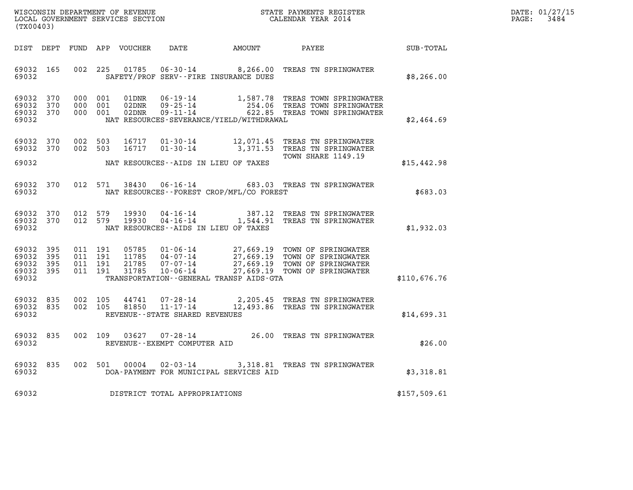| WISCONSIN DEPARTMENT OF REVENUE   | STATE PAYMENTS REGISTER | DATE: 01/27/15 |
|-----------------------------------|-------------------------|----------------|
| LOCAL GOVERNMENT SERVICES SECTION | CALENDAR YEAR 2014      | 3484<br>PAGE:  |

| (TX00403)                                 |                          |                                                      | WISCONSIN DEPARTMENT OF REVENUE<br>LOCAL GOVERNMENT SERVICES SECTION |                                                                                                                 |                                                  | STATE PAYMENTS REGISTER<br>CALENDAR YEAR 2014                                            |                  |
|-------------------------------------------|--------------------------|------------------------------------------------------|----------------------------------------------------------------------|-----------------------------------------------------------------------------------------------------------------|--------------------------------------------------|------------------------------------------------------------------------------------------|------------------|
| DIST                                      | DEPT                     | FUND<br>APP                                          | VOUCHER                                                              | DATE                                                                                                            | AMOUNT                                           | PAYEE                                                                                    | <b>SUB-TOTAL</b> |
| 69032<br>69032                            | 165                      | 002<br>225                                           | 01785                                                                | $06 - 30 - 14$<br>SAFETY/PROF SERV--FIRE INSURANCE DUES                                                         | 8,266.00                                         | TREAS TN SPRINGWATER                                                                     | \$8,266.00       |
| 69032<br>69032<br>69032<br>69032          | 370<br>370<br>370        | 000<br>001<br>000<br>001<br>000<br>001               | 01DNR<br>02DNR<br>02DNR                                              | $06 - 19 - 14$<br>$09 - 25 - 14$<br>$09 - 11 - 14$<br>NAT RESOURCES-SEVERANCE/YIELD/WITHDRAWAL                  | 1,587.78<br>254.06<br>622.85                     | TREAS TOWN SPRINGWATER<br>TREAS TOWN SPRINGWATER<br>TREAS TOWN SPRINGWATER               | \$2,464.69       |
| 69032<br>69032                            | 370<br>370               | 002<br>503<br>002<br>503                             | 16717<br>16717                                                       | $01 - 30 - 14$<br>$01 - 30 - 14$                                                                                | 12,071.45<br>3,371.53                            | TREAS TN SPRINGWATER<br>TREAS TN SPRINGWATER<br>TOWN SHARE 1149.19                       |                  |
| 69032                                     |                          |                                                      |                                                                      | NAT RESOURCES - AIDS IN LIEU OF TAXES                                                                           |                                                  |                                                                                          | \$15,442.98      |
| 69032<br>69032                            | 370                      | 012<br>571                                           | 38430                                                                | $06 - 16 - 14$<br>NAT RESOURCES--FOREST CROP/MFL/CO FOREST                                                      |                                                  | 683.03 TREAS TN SPRINGWATER                                                              | \$683.03         |
| 69032<br>69032<br>69032                   | 370<br>370               | 012<br>579<br>579<br>012                             | 19930<br>19930                                                       | $04 - 16 - 14$<br>$04 - 16 - 14$<br>NAT RESOURCES - AIDS IN LIEU OF TAXES                                       | 387.12<br>1,544.91                               | TREAS TN SPRINGWATER<br>TREAS TN SPRINGWATER                                             | \$1,932.03       |
| 69032<br>69032<br>69032<br>69032<br>69032 | 395<br>395<br>395<br>395 | 011<br>191<br>011<br>191<br>191<br>011<br>011<br>191 | 05785<br>11785<br>21785<br>31785                                     | $01 - 06 - 14$<br>$04 - 07 - 14$<br>$07 - 07 - 14$<br>$10 - 06 - 14$<br>TRANSPORTATION--GENERAL TRANSP AIDS-GTA | 27,669.19<br>27,669.19<br>27,669.19<br>27,669.19 | TOWN OF SPRINGWATER<br>TOWN OF SPRINGWATER<br>TOWN OF SPRINGWATER<br>TOWN OF SPRINGWATER | \$110,676.76     |
| 69032<br>69032<br>69032                   | 835<br>835               | 002<br>105<br>002<br>105                             | 44741<br>81850                                                       | $07 - 28 - 14$<br>$11 - 17 - 14$<br>REVENUE - - STATE SHARED REVENUES                                           | 2,205.45<br>12,493.86                            | TREAS TN SPRINGWATER<br>TREAS TN SPRINGWATER                                             | \$14,699.31      |
| 69032<br>69032                            | 835                      | 002<br>109                                           | 03627                                                                | $07 - 28 - 14$<br>REVENUE--EXEMPT COMPUTER AID                                                                  | 26.00                                            | TREAS TN SPRINGWATER                                                                     | \$26.00          |
| 69032<br>69032                            | 835                      | 002<br>501                                           | 00004                                                                | $02 - 03 - 14$<br>DOA-PAYMENT FOR MUNICIPAL SERVICES AID                                                        | 3,318.81                                         | TREAS TN SPRINGWATER                                                                     | \$3,318.81       |
| 69032                                     |                          |                                                      |                                                                      | DISTRICT TOTAL APPROPRIATIONS                                                                                   |                                                  |                                                                                          | \$157,509.61     |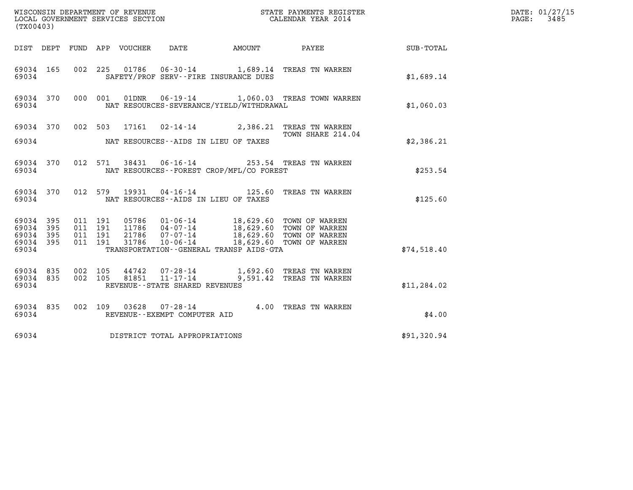| (TX00403)                                             |     |                                          |                            |                                       |                                              |                                                                                                                                                                       | DATE: 01/27/15<br>3485<br>$\mathtt{PAGE:}$ |  |
|-------------------------------------------------------|-----|------------------------------------------|----------------------------|---------------------------------------|----------------------------------------------|-----------------------------------------------------------------------------------------------------------------------------------------------------------------------|--------------------------------------------|--|
|                                                       |     |                                          | DIST DEPT FUND APP VOUCHER | DATE                                  |                                              | AMOUNT PAYEE                                                                                                                                                          | SUB-TOTAL                                  |  |
| 69034 165<br>69034                                    |     |                                          |                            | SAFETY/PROF SERV--FIRE INSURANCE DUES |                                              | 002 225 01786 06-30-14 1,689.14 TREAS TN WARREN                                                                                                                       | \$1,689.14                                 |  |
| 69034 370<br>69034                                    |     |                                          | 000 001                    |                                       | NAT RESOURCES-SEVERANCE/YIELD/WITHDRAWAL     | 01DNR  06-19-14  1,060.03  TREAS TOWN WARREN                                                                                                                          | \$1,060.03                                 |  |
| 69034                                                 |     |                                          |                            | NAT RESOURCES--AIDS IN LIEU OF TAXES  |                                              | 69034 370 002 503 17161 02-14-14 2,386.21 TREAS TN WARREN<br>TOWN SHARE 214.04                                                                                        | \$2,386.21                                 |  |
| 69034 370<br>69034                                    |     |                                          | 012 571                    |                                       | NAT RESOURCES--FOREST CROP/MFL/CO FOREST     | 38431  06-16-14  253.54  TREAS TN WARREN                                                                                                                              | \$253.54                                   |  |
| 69034 370<br>69034                                    |     |                                          | 012 579<br>19931           | NAT RESOURCES--AIDS IN LIEU OF TAXES  |                                              | 04-16-14 125.60 TREAS TN WARREN                                                                                                                                       | \$125.60                                   |  |
| 69034 395<br>69034<br>69034 395<br>69034 395<br>69034 | 395 | 011 191<br>011 191<br>011 191<br>011 191 | 31786                      | 10-06-14                              | TRANSPORTATION - - GENERAL TRANSP AIDS - GTA | 05786   01-06-14   18,629.60 TOWN OF WARREN<br>11786   04-07-14   18,629.60 TOWN OF WARREN<br>21786   07-07-14   18,629.60 TOWN OF WARREN<br>18,629.60 TOWN OF WARREN | \$74,518.40                                |  |
| 69034 835<br>69034 835<br>69034                       |     | 002 105                                  | 44742                      | REVENUE--STATE SHARED REVENUES        |                                              | 07-28-14 1,692.60 TREAS TN WARREN<br>002 105 81851 11-17-14 9,591.42 TREAS TN WARREN                                                                                  | \$11, 284.02                               |  |
| 69034 835<br>69034                                    |     |                                          |                            | REVENUE--EXEMPT COMPUTER AID          |                                              | 002 109 03628 07-28-14 4.00 TREAS TN WARREN                                                                                                                           | \$4.00                                     |  |
| 69034                                                 |     |                                          |                            | DISTRICT TOTAL APPROPRIATIONS         |                                              |                                                                                                                                                                       | \$91,320.94                                |  |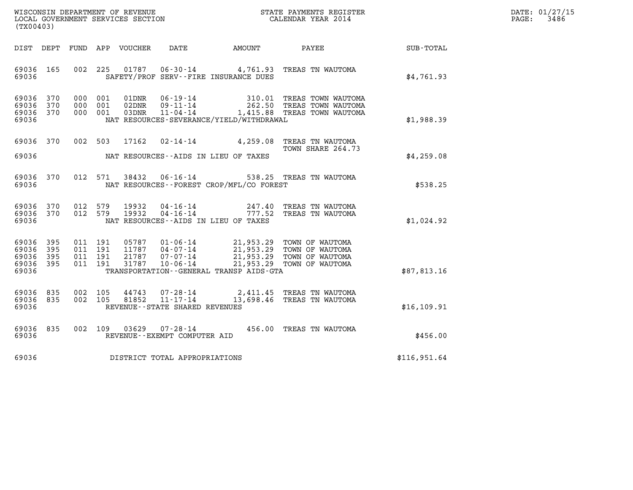| WISCONSIN DEPARTMENT OF REVENUE   | STATE PAYMENTS REGISTER | DATE: 01/27/15 |
|-----------------------------------|-------------------------|----------------|
| LOCAL GOVERNMENT SERVICES SECTION | CALENDAR YEAR 2014      | 3486<br>PAGE:  |

| (TX00403)                                                                                         | WISCONSIN DEPARTMENT OF REVENUE<br>STATE PAYMENTS REGISTER<br>LOCAL GOVERNMENT SERVICES SECTION<br>CALENDAR YEAR 2014                                                                                          |                                                                                                    |                  |  |  |  |  |
|---------------------------------------------------------------------------------------------------|----------------------------------------------------------------------------------------------------------------------------------------------------------------------------------------------------------------|----------------------------------------------------------------------------------------------------|------------------|--|--|--|--|
| DEPT<br>FUND<br>DIST                                                                              | APP<br>VOUCHER<br>DATE<br><b>AMOUNT</b>                                                                                                                                                                        | PAYEE                                                                                              | <b>SUB-TOTAL</b> |  |  |  |  |
| 002<br>69036<br>165<br>69036                                                                      | 225<br>SAFETY/PROF SERV--FIRE INSURANCE DUES                                                                                                                                                                   | 01787  06-30-14  4,761.93  TREAS TN WAUTOMA                                                        | \$4,761.93       |  |  |  |  |
| 69036<br>370<br>000<br>69036<br>370<br>000<br>69036<br>370<br>000<br>69036                        | 01DNR<br>$06 - 19 - 14$<br>001<br>001<br>02DNR<br>$09 - 11 - 14$<br>001<br>03DNR<br>$11 - 04 - 14$<br>NAT RESOURCES-SEVERANCE/YIELD/WITHDRAWAL                                                                 | 310.01 TREAS TOWN WAUTOMA<br>262.50 TREAS TOWN WAUTOMA<br>1,415.88 TREAS TOWN WAUTOMA              | \$1,988.39       |  |  |  |  |
| 69036<br>370<br>002<br>69036                                                                      | 503<br>17162<br>$02 - 14 - 14$<br>NAT RESOURCES -- AIDS IN LIEU OF TAXES                                                                                                                                       | 4,259.08 TREAS TN WAUTOMA<br>TOWN SHARE 264.73                                                     | \$4,259.08       |  |  |  |  |
| 012<br>69036<br>370<br>69036                                                                      | $06 - 16 - 14$<br>571<br>38432<br>NAT RESOURCES - - FOREST CROP/MFL/CO FOREST                                                                                                                                  | 538.25 TREAS TN WAUTOMA                                                                            | \$538.25         |  |  |  |  |
| 69036<br>370<br>012<br>012<br>69036<br>370<br>69036                                               | 579<br>19932<br>04 - 16 - 14 247.40<br>04 - 16 - 14 777.52<br>579<br>19932<br>NAT RESOURCES -- AIDS IN LIEU OF TAXES                                                                                           | TREAS TN WAUTOMA<br>TREAS TN WAUTOMA                                                               | \$1,024.92       |  |  |  |  |
| 69036<br>395<br>011<br>69036<br>395<br>011<br>69036<br>395<br>011<br>69036<br>395<br>011<br>69036 | 191<br>05787<br>01-06-14<br>04-07-14<br>04-07-14<br>21,953.29<br>191<br>11787<br>$04 - 07 - 14$<br>191<br>21787<br>$07 - 07 - 14$<br>191<br>31787<br>$10 - 06 - 14$<br>TRANSPORTATION--GENERAL TRANSP AIDS-GTA | TOWN OF WAUTOMA<br>TOWN OF WAUTOMA<br>21,953.29<br>TOWN OF WAUTOMA<br>21,953.29<br>TOWN OF WAUTOMA | \$87,813.16      |  |  |  |  |
| 69036<br>835<br>002<br>69036<br>835<br>002<br>69036                                               | 105<br>44743<br>$07 - 28 - 14$<br>11-17-14<br>13,698.46<br>81852<br>105<br>REVENUE - - STATE SHARED REVENUES                                                                                                   | TREAS TN WAUTOMA<br>TREAS TN WAUTOMA                                                               | \$16, 109.91     |  |  |  |  |
| 835<br>002<br>69036<br>69036                                                                      | 109<br>03629<br>$07 - 28 - 14$<br>REVENUE--EXEMPT COMPUTER AID                                                                                                                                                 | 456.00<br>TREAS TN WAUTOMA                                                                         | \$456.00         |  |  |  |  |
| 69036                                                                                             | DISTRICT TOTAL APPROPRIATIONS                                                                                                                                                                                  |                                                                                                    | \$116,951.64     |  |  |  |  |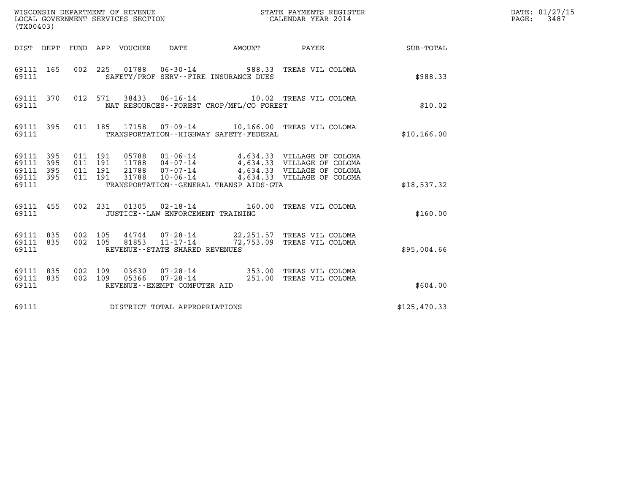| (TX00403)                                             |           |                                          |         |       | WISCONSIN DEPARTMENT OF REVENUE<br>LOCAL GOVERNMENT SERVICES SECTION |                                             | STATE PAYMENTS REGISTER<br>CALENDAR YEAR 2014                                                                                                                              |                                                    | DATE: 01/27/15<br>$\mathtt{PAGE:}$<br>3487 |
|-------------------------------------------------------|-----------|------------------------------------------|---------|-------|----------------------------------------------------------------------|---------------------------------------------|----------------------------------------------------------------------------------------------------------------------------------------------------------------------------|----------------------------------------------------|--------------------------------------------|
|                                                       |           |                                          |         |       |                                                                      |                                             |                                                                                                                                                                            | DIST DEPT FUND APP VOUCHER DATE AMOUNT PAYEE TOTAL |                                            |
| 69111 165<br>69111                                    |           |                                          |         |       |                                                                      | SAFETY/PROF SERV--FIRE INSURANCE DUES       | 002  225  01788  06-30-14  988.33  TREAS VIL COLOMA                                                                                                                        | \$988.33                                           |                                            |
| 69111                                                 | 69111 370 |                                          |         |       |                                                                      | NAT RESOURCES - - FOREST CROP/MFL/CO FOREST | 012 571 38433 06-16-14 10.02 TREAS VIL COLOMA                                                                                                                              | \$10.02                                            |                                            |
| 69111 395<br>69111                                    |           |                                          |         |       |                                                                      | TRANSPORTATION - - HIGHWAY SAFETY - FEDERAL | 011 185 17158 07-09-14 10,166.00 TREAS VIL COLOMA                                                                                                                          | \$10, 166.00                                       |                                            |
| 69111 395<br>69111 395<br>69111<br>69111 395<br>69111 | 395       | 011 191<br>011 191<br>011 191<br>011 191 |         | 31788 | $10 - 06 - 14$                                                       | TRANSPORTATION--GENERAL TRANSP AIDS-GTA     | 05788  01-06-14  4,634.33  VILLAGE OF COLOMA<br>11788  04-07-14  4,634.33  VILLAGE OF COLOMA<br>21788  07-07-14  4,634.33  VILLAGE OF COLOMA<br>4,634.33 VILLAGE OF COLOMA | \$18,537.32                                        |                                            |
| 69111 455<br>69111                                    |           |                                          |         |       | JUSTICE - - LAW ENFORCEMENT TRAINING                                 |                                             | 002 231 01305 02-18-14 160.00 TREAS VIL COLOMA                                                                                                                             | \$160.00                                           |                                            |
| 69111 835<br>69111 835<br>69111                       |           | 002 105                                  | 002 105 |       | REVENUE - - STATE SHARED REVENUES                                    |                                             | 44744 07-28-14 22, 251.57 TREAS VIL COLOMA<br>81853 11-17-14 72,753.09 TREAS VIL COLOMA                                                                                    | \$95,004.66                                        |                                            |
| 69111 835<br>69111 835<br>69111                       |           | 002 109                                  | 002 109 |       | REVENUE--EXEMPT COMPUTER AID                                         |                                             | 03630  07-28-14  353.00 TREAS VIL COLOMA<br>05366  07-28-14  251.00 TREAS VIL COLOMA                                                                                       | \$604.00                                           |                                            |
| 69111                                                 |           |                                          |         |       | DISTRICT TOTAL APPROPRIATIONS                                        |                                             |                                                                                                                                                                            | \$125,470.33                                       |                                            |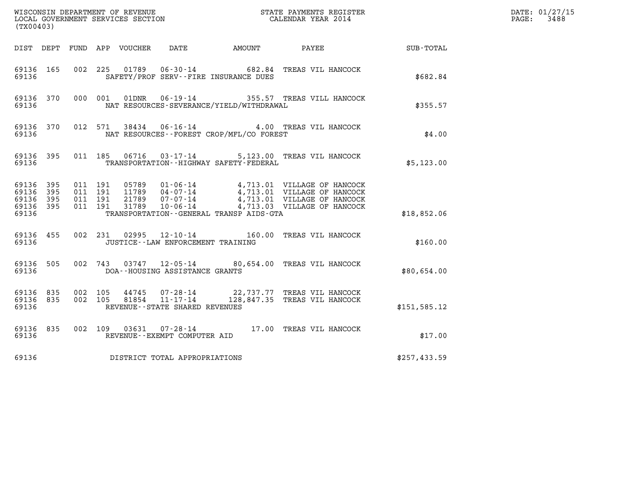| (TX00403)                                                 |  |                                          |  |  |                                      |                                              |                                                                                                                                                                                                   |               | DATE: 01/27/15<br>$\mathtt{PAGE}$ :<br>3488 |
|-----------------------------------------------------------|--|------------------------------------------|--|--|--------------------------------------|----------------------------------------------|---------------------------------------------------------------------------------------------------------------------------------------------------------------------------------------------------|---------------|---------------------------------------------|
|                                                           |  |                                          |  |  |                                      |                                              | DIST DEPT FUND APP VOUCHER DATE AMOUNT PAYEE SUB-TOTAL                                                                                                                                            |               |                                             |
| 69136 165<br>69136                                        |  |                                          |  |  |                                      | SAFETY/PROF SERV--FIRE INSURANCE DUES        | 002 225 01789 06-30-14 682.84 TREAS VIL HANCOCK                                                                                                                                                   | \$682.84      |                                             |
| 69136 370<br>69136                                        |  |                                          |  |  |                                      | NAT RESOURCES-SEVERANCE/YIELD/WITHDRAWAL     | 000 001 01DNR 06-19-14 355.57 TREAS VILL HANCOCK                                                                                                                                                  | \$355.57      |                                             |
| 69136 370<br>69136                                        |  |                                          |  |  |                                      | NAT RESOURCES - - FOREST CROP/MFL/CO FOREST  | 012 571 38434 06-16-14 4.00 TREAS VIL HANCOCK                                                                                                                                                     | \$4.00        |                                             |
| 69136 395<br>69136                                        |  |                                          |  |  |                                      | TRANSPORTATION - - HIGHWAY SAFETY - FEDERAL  | 011 185 06716 03-17-14 5,123.00 TREAS VIL HANCOCK                                                                                                                                                 | \$5,123.00    |                                             |
| 69136 395<br>69136 395<br>69136 395<br>69136 395<br>69136 |  | 011 191<br>011 191<br>011 191<br>011 191 |  |  |                                      | TRANSPORTATION - - GENERAL TRANSP AIDS - GTA | 05789  01-06-14  4,713.01  VILLAGE OF HANCOCK<br>11789  04-07-14  4,713.01  VILLAGE OF HANCOCK<br>21789  07-07-14  4,713.01  VILLAGE OF HANCOCK<br>31789  10-06-14   4,713.03  VILLAGE OF HANCOCK | \$18,852.06   |                                             |
| 69136                                                     |  |                                          |  |  | JUSTICE - - LAW ENFORCEMENT TRAINING |                                              | 69136 455 002 231 02995 12-10-14 160.00 TREAS VIL HANCOCK                                                                                                                                         | \$160.00      |                                             |
| 69136 505<br>69136                                        |  |                                          |  |  | DOA--HOUSING ASSISTANCE GRANTS       |                                              | 002 743 03747 12-05-14 80,654.00 TREAS VIL HANCOCK                                                                                                                                                | \$80,654.00   |                                             |
| 69136 835<br>69136 835<br>69136                           |  | 002 105<br>002 105                       |  |  | REVENUE - - STATE SHARED REVENUES    |                                              | $\begin{array}{cccc} 44745 & 07\text{-}28\text{-}14 & 22,737.77 & \text{TREAS VIL HANCOCK} \\ 81854 & 11\text{-}17\text{-}14 & 128,847.35 & \text{TREAS VIL HANCOCK} \end{array}$                 | \$151, 585.12 |                                             |
| 69136 835<br>69136                                        |  |                                          |  |  | REVENUE--EXEMPT COMPUTER AID         |                                              | 002 109 03631 07-28-14 17.00 TREAS VIL HANCOCK                                                                                                                                                    | \$17.00       |                                             |
| 69136                                                     |  |                                          |  |  | DISTRICT TOTAL APPROPRIATIONS        |                                              |                                                                                                                                                                                                   | \$257,433.59  |                                             |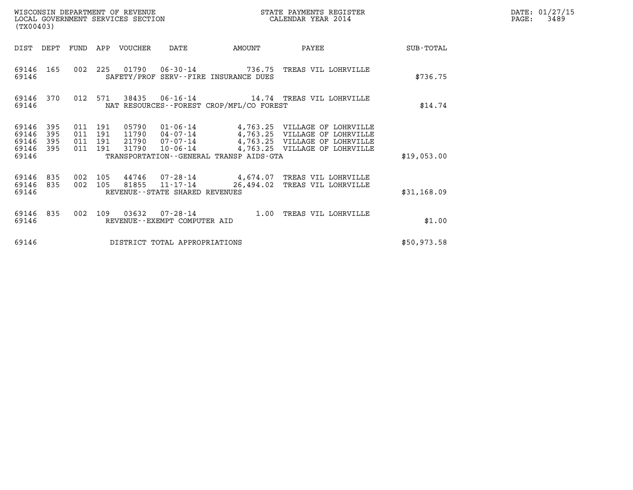| WISCONSIN DEPARTMENT OF REVENUE<br>LOCAL GOVERNMENT SERVICES SECTION<br>. | STATE PAYMENTS REGISTER<br>CALENDAR YEAR 2014 | DATE: 01/27/15<br>3489<br>PAGE: |
|---------------------------------------------------------------------------|-----------------------------------------------|---------------------------------|

| WISCONSIN DEPARTMENT OF REVENUE<br>LOCAL GOVERNMENT SERVICES SECTION<br>(TX00403) |                          |                                          |  |                                 |                                 |                                          | STATE PAYMENTS REGISTER<br>NGALENDAR YEAR 2014                                                                                                  | DATE: 01/27/15<br>$\mathtt{PAGE:}$<br>3489 |  |
|-----------------------------------------------------------------------------------|--------------------------|------------------------------------------|--|---------------------------------|---------------------------------|------------------------------------------|-------------------------------------------------------------------------------------------------------------------------------------------------|--------------------------------------------|--|
|                                                                                   |                          |                                          |  | DIST DEPT FUND APP VOUCHER DATE |                                 | <b>AMOUNT</b>                            | <b>PAYEE</b>                                                                                                                                    | SUB-TOTAL                                  |  |
| 69146                                                                             |                          |                                          |  |                                 |                                 | SAFETY/PROF SERV--FIRE INSURANCE DUES    | 69146 165 002 225 01790 06-30-14 736.75 TREAS VIL LOHRVILLE                                                                                     | \$736.75                                   |  |
| 69146                                                                             | 69146 370                | 012 571                                  |  |                                 |                                 | NAT RESOURCES--FOREST CROP/MFL/CO FOREST |                                                                                                                                                 | \$14.74                                    |  |
| 69146<br>69146<br>69146<br>69146<br>69146                                         | 395<br>395<br>395<br>395 | 011 191<br>011 191<br>011 191<br>011 191 |  |                                 |                                 | TRANSPORTATION--GENERAL TRANSP AIDS-GTA  | 11790  04-07-14  4,763.25  VILLAGE OF LOHRVILLE<br>21790 07-07-14 4,763.25 VILLAGE OF LOHRVILLE<br>31790 10-06-14 4,763.25 VILLAGE OF LOHRVILLE | \$19,053.00                                |  |
| 69146                                                                             | 69146 835<br>69146 835   | 002 105<br>002 105                       |  |                                 | REVENUE--STATE SHARED REVENUES  | 81855 11-17-14 26,494.02                 | 44746 07-28-14 4,674.07 TREAS VIL LOHRVILLE<br>TREAS VIL LOHRVILLE                                                                              | \$31,168.09                                |  |
| 69146                                                                             | 69146 835                |                                          |  |                                 | REVENUE - - EXEMPT COMPUTER AID |                                          | 002 109 03632 07-28-14 1.00 TREAS VIL LOHRVILLE                                                                                                 | \$1.00                                     |  |
| 69146                                                                             |                          |                                          |  |                                 | DISTRICT TOTAL APPROPRIATIONS   |                                          |                                                                                                                                                 | \$50,973.58                                |  |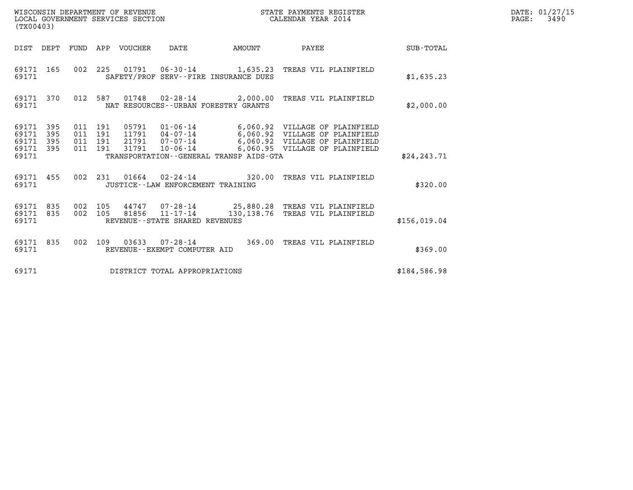| WISCONSIN DEPARTMENT OF REVENUE<br>LOCAL GOVERNMENT SERVICES SECTION<br>(TX00403) |            |                                          |         |                                 |                                                                 |                                              | STATE PAYMENTS REGISTER<br>CALENDAR YEAR 2014                                                                                              |              | DATE: 01/27/15<br>$\mathtt{PAGE:}$<br>3490 |
|-----------------------------------------------------------------------------------|------------|------------------------------------------|---------|---------------------------------|-----------------------------------------------------------------|----------------------------------------------|--------------------------------------------------------------------------------------------------------------------------------------------|--------------|--------------------------------------------|
|                                                                                   |            |                                          |         | DIST DEPT FUND APP VOUCHER DATE |                                                                 |                                              | AMOUNT PAYEE SUB-TOTAL                                                                                                                     |              |                                            |
| 69171 165<br>69171                                                                |            |                                          |         |                                 |                                                                 | SAFETY/PROF SERV--FIRE INSURANCE DUES        | 002 225 01791 06-30-14 1,635.23 TREAS VIL PLAINFIELD                                                                                       | \$1,635.23   |                                            |
| 69171                                                                             | 69171 370  |                                          | 012 587 |                                 |                                                                 | NAT RESOURCES--URBAN FORESTRY GRANTS         | 01748  02-28-14  2,000.00  TREAS VIL PLAINFIELD                                                                                            | \$2,000.00   |                                            |
| 69171 395<br>69171<br>69171<br>69171 395<br>69171                                 | 395<br>395 | 011 191<br>011 191<br>011 191<br>011 191 |         | 31791                           | $10 - 06 - 14$                                                  | TRANSPORTATION - - GENERAL TRANSP AIDS - GTA | 11791  04-07-14   6,060.92  VILLAGE OF PLAINFIELD<br>21791  07-07-14   6,060.92    VILLAGE OF PLAINFIELD<br>6,060.95 VILLAGE OF PLAINFIELD | \$24, 243.71 |                                            |
| 69171 455<br>69171                                                                |            |                                          |         |                                 | JUSTICE - - LAW ENFORCEMENT TRAINING                            |                                              | 002 231 01664 02-24-14 320.00 TREAS VIL PLAINFIELD                                                                                         | \$320.00     |                                            |
| 69171 835<br>69171                                                                | 69171 835  | 002 105                                  | 002 105 |                                 | 81856 $11 - 17 - \bar{14}$<br>REVENUE - - STATE SHARED REVENUES |                                              | 44747 07-28-14 25,880.28 TREAS VIL PLAINFIELD<br>130,138.76 TREAS VIL PLAINFIELD                                                           | \$156,019.04 |                                            |
| 69171                                                                             | 69171 835  |                                          |         |                                 | REVENUE--EXEMPT COMPUTER AID                                    |                                              | 002 109 03633 07-28-14 369.00 TREAS VIL PLAINFIELD                                                                                         | \$369.00     |                                            |
| 69171                                                                             |            |                                          |         |                                 | DISTRICT TOTAL APPROPRIATIONS                                   |                                              |                                                                                                                                            | \$184,586.98 |                                            |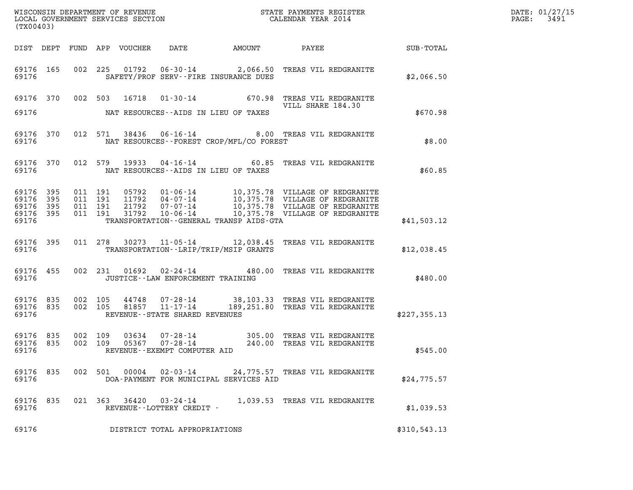| DATE: | 01/27/15 |
|-------|----------|
| PAGE: | 3491     |

|                                              | (TX00403) |                    |  |               |                                                     |  |                                                                                                                                                                                                                                                                                                                                                |              | DATE: 01/27/15<br>3491<br>$\mathtt{PAGE:}$ |
|----------------------------------------------|-----------|--------------------|--|---------------|-----------------------------------------------------|--|------------------------------------------------------------------------------------------------------------------------------------------------------------------------------------------------------------------------------------------------------------------------------------------------------------------------------------------------|--------------|--------------------------------------------|
|                                              |           |                    |  |               |                                                     |  |                                                                                                                                                                                                                                                                                                                                                |              |                                            |
|                                              |           | 69176 700          |  |               | SAFETY/PROF SERV--FIRE INSURANCE DUES               |  | 69176 165 002 225 01792 06-30-14 2,066.50 TREAS VIL REDGRANITE                                                                                                                                                                                                                                                                                 | \$2,066.50   |                                            |
|                                              |           |                    |  |               | 69176 MAT RESOURCES--AIDS IN LIEU OF TAXES          |  | 69176 370 002 503 16718 01-30-14 670.98 TREAS VIL REDGRANITE                                                                                                                                                                                                                                                                                   | \$670.98     |                                            |
|                                              |           | 69176              |  |               | NAT RESOURCES - - FOREST CROP/MFL/CO FOREST         |  | 69176 370 012 571 38436 06-16-14 8.00 TREAS VIL REDGRANITE                                                                                                                                                                                                                                                                                     | \$8.00       |                                            |
|                                              |           |                    |  |               |                                                     |  | 69176 370 012 579 19933 04-16-14 60.85 TREAS VIL REDGRANITE                                                                                                                                                                                                                                                                                    | \$60.85      |                                            |
| 69176 395<br>69176 395<br>69176 395<br>69176 | 69176 395 |                    |  |               | TRANSPORTATION--GENERAL TRANSP AIDS-GTA             |  | $\begin{array}{cccc} 011 & 191 & 05792 & 01\cdot 06\cdot 14 & 10\,, 375\,.78 & \text{VILLAGE OF REDGRANITE} \\ 011 & 191 & 11792 & 04\cdot 07\cdot 14 & 10\,, 375\,.78 & \text{VILLAGE OF REDGRANITE} \\ 011 & 191 & 21792 & 07\cdot 07\cdot 14 & 10\,, 375\,.78 & \text{VILLAGE OF REDGRANITE} \\ 011 & 191 & 31792 & 10\cdot 06\cdot 14 & 1$ | \$41,503.12  |                                            |
| 69176                                        |           |                    |  |               | TRANSPORTATION--LRIP/TRIP/MSIP GRANTS               |  | 69176 395 011 278 30273 11-05-14 12,038.45 TREAS VIL REDGRANITE                                                                                                                                                                                                                                                                                | \$12,038.45  |                                            |
|                                              |           | 69176 700          |  |               | JUSTICE--LAW ENFORCEMENT TRAINING                   |  | 69176 455 002 231 01692 02-24-14 480.00 TREAS VIL REDGRANITE                                                                                                                                                                                                                                                                                   | \$480.00     |                                            |
| 69176                                        |           |                    |  |               | REVENUE--STATE SHARED REVENUES                      |  | 69176 835 002 105 44748 07-28-14 38,103.33 TREAS VIL REDGRANITE 69176 835 002 105 81857 11-17-14 189,251.80 TREAS VIL REDGRANITE                                                                                                                                                                                                               | \$227,355.13 |                                            |
| 69176 835<br>69176 835<br>69176              |           | 002 109<br>002 109 |  |               | REVENUE--EXEMPT COMPUTER AID                        |  |                                                                                                                                                                                                                                                                                                                                                | \$545.00     |                                            |
| 69176 835<br>69176                           |           |                    |  | 002 501 00004 | DOA-PAYMENT FOR MUNICIPAL SERVICES AID              |  | 02-03-14 24,775.57 TREAS VIL REDGRANITE                                                                                                                                                                                                                                                                                                        | \$24,775.57  |                                            |
| 69176 835<br>69176                           |           |                    |  |               | 021 363 36420 03-24-14<br>REVENUE--LOTTERY CREDIT - |  | 1,039.53 TREAS VIL REDGRANITE                                                                                                                                                                                                                                                                                                                  | \$1,039.53   |                                            |
| 69176                                        |           |                    |  |               | DISTRICT TOTAL APPROPRIATIONS                       |  |                                                                                                                                                                                                                                                                                                                                                | \$310,543.13 |                                            |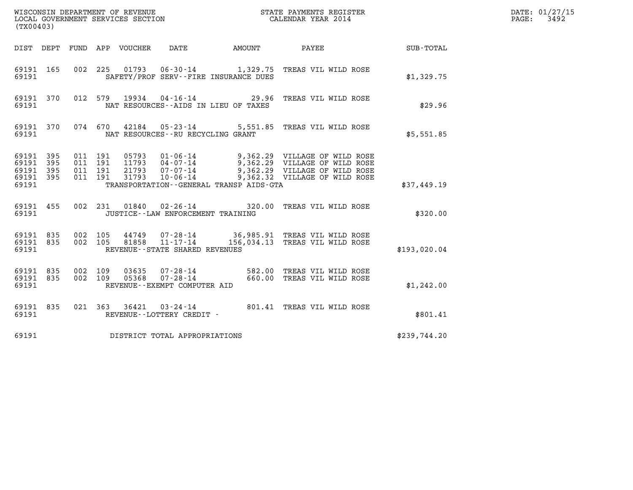| (TX00403)                                             |           |                                                            |                                                                       |              |                                                                                                                                                                      |              | DATE: 01/27/15<br>3492<br>$\mathtt{PAGE}$ : |
|-------------------------------------------------------|-----------|------------------------------------------------------------|-----------------------------------------------------------------------|--------------|----------------------------------------------------------------------------------------------------------------------------------------------------------------------|--------------|---------------------------------------------|
|                                                       | DIST DEPT | FUND APP VOUCHER                                           | DATE                                                                  | AMOUNT PAYEE |                                                                                                                                                                      | SUB-TOTAL    |                                             |
| 69191 165<br>69191                                    |           |                                                            | SAFETY/PROF SERV--FIRE INSURANCE DUES                                 |              | 002 225 01793 06-30-14 1,329.75 TREAS VIL WILD ROSE                                                                                                                  | \$1,329.75   |                                             |
| 69191 370<br>69191                                    |           | 012 579                                                    | 19934 04-16-14 29.96<br>NAT RESOURCES -- AIDS IN LIEU OF TAXES        |              | TREAS VIL WILD ROSE                                                                                                                                                  | \$29.96      |                                             |
| 69191 370<br>69191                                    |           | 074 670                                                    | NAT RESOURCES--RU RECYCLING GRANT                                     |              | 42184  05-23-14  5,551.85  TREAS VIL WILD ROSE                                                                                                                       | \$5,551.85   |                                             |
| 69191 395<br>69191 395<br>69191<br>69191 395<br>69191 | 395       | 011 191<br>011 191<br>011 191<br>21793<br>011 191<br>31793 | $07 - 07 - 14$<br>10-06-14<br>TRANSPORTATION--GENERAL TRANSP AIDS-GTA |              | 05793  01-06-14  9,362.29  VILLAGE OF WILD ROSE<br>11793  04-07-14  9,362.29  VILLAGE OF WILD ROSE<br>9,362.29 VILLAGE OF WILD ROSE<br>9,362.32 VILLAGE OF WILD ROSE | \$37,449.19  |                                             |
| 69191 455<br>69191                                    |           | 002 231                                                    | 01840  02-26-14<br>JUSTICE - - LAW ENFORCEMENT TRAINING               |              | 320.00 TREAS VIL WILD ROSE                                                                                                                                           | \$320.00     |                                             |
| 69191 835<br>69191 835<br>69191                       |           | 002 105<br>44749<br>002 105<br>81858                       | 07-28-14<br>$11 - 17 - 14$<br>REVENUE - - STATE SHARED REVENUES       |              | 36,985.91 TREAS VIL WILD ROSE<br>156,034.13 TREAS VIL WILD ROSE                                                                                                      | \$193,020.04 |                                             |
| 69191 835<br>69191 835<br>69191                       |           | 002 109<br>03635<br>002 109<br>05368                       | 07-28-14<br>REVENUE--EXEMPT COMPUTER AID                              |              | 07-28-14 582.00 TREAS VIL WILD ROSE<br>07-28-14 660.00 TREAS VIL WILD ROSE<br>660.00 TREAS VIL WILD ROSE                                                             | \$1,242.00   |                                             |
| 69191 835<br>69191                                    |           |                                                            | REVENUE--LOTTERY CREDIT -                                             |              | 021 363 36421 03-24-14 801.41 TREAS VIL WILD ROSE                                                                                                                    | \$801.41     |                                             |
| 69191                                                 |           |                                                            | DISTRICT TOTAL APPROPRIATIONS                                         |              |                                                                                                                                                                      | \$239,744.20 |                                             |